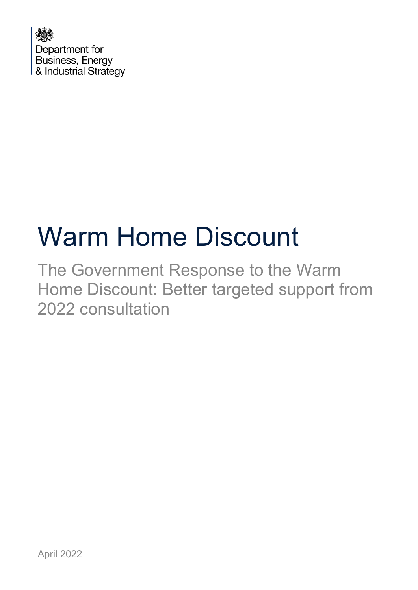

# Warm Home Discount

The Government Response to the Warm Home Discount: Better targeted support from 2022 consultation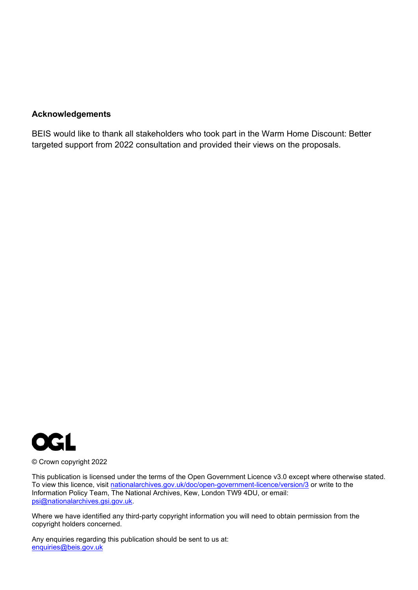#### **Acknowledgements**

BEIS would like to thank all stakeholders who took part in the Warm Home Discount: Better targeted support from 2022 consultation and provided their views on the proposals.



© Crown copyright 2022

This publication is licensed under the terms of the Open Government Licence v3.0 except where otherwise stated. To view this licence, visit [nationalarchives.gov.uk/doc/open-government-licence/version/3](http://nationalarchives.gov.uk/doc/open-government-licence/version/3/) or write to the Information Policy Team, The National Archives, Kew, London TW9 4DU, or email: [psi@nationalarchives.gsi.gov.uk.](mailto:psi@nationalarchives.gsi.gov.uk)

Where we have identified any third-party copyright information you will need to obtain permission from the copyright holders concerned.

Any enquiries regarding this publication should be sent to us at: [enquiries@beis.gov.uk](mailto:enquiries@beis.gov.uk)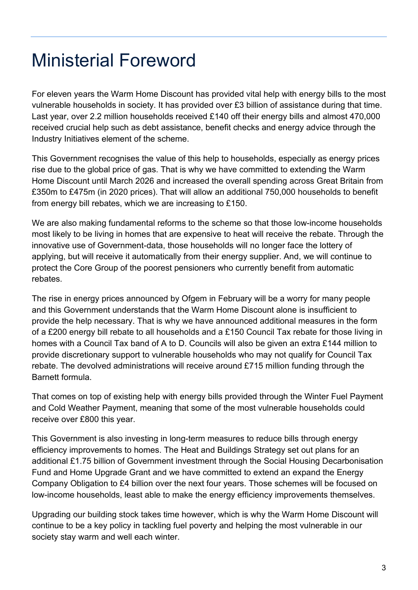## <span id="page-2-0"></span>Ministerial Foreword

For eleven years the Warm Home Discount has provided vital help with energy bills to the most vulnerable households in society. It has provided over £3 billion of assistance during that time. Last year, over 2.2 million households received £140 off their energy bills and almost 470,000 received crucial help such as debt assistance, benefit checks and energy advice through the Industry Initiatives element of the scheme.

This Government recognises the value of this help to households, especially as energy prices rise due to the global price of gas. That is why we have committed to extending the Warm Home Discount until March 2026 and increased the overall spending across Great Britain from £350m to £475m (in 2020 prices). That will allow an additional 750,000 households to benefit from energy bill rebates, which we are increasing to £150.

We are also making fundamental reforms to the scheme so that those low-income households most likely to be living in homes that are expensive to heat will receive the rebate. Through the innovative use of Government-data, those households will no longer face the lottery of applying, but will receive it automatically from their energy supplier. And, we will continue to protect the Core Group of the poorest pensioners who currently benefit from automatic rebates.

The rise in energy prices announced by Ofgem in February will be a worry for many people and this Government understands that the Warm Home Discount alone is insufficient to provide the help necessary. That is why we have announced additional measures in the form of a £200 energy bill rebate to all households and a £150 Council Tax rebate for those living in homes with a Council Tax band of A to D. Councils will also be given an extra £144 million to provide discretionary support to vulnerable households who may not qualify for Council Tax rebate. The devolved administrations will receive around £715 million funding through the Barnett formula.

That comes on top of existing help with energy bills provided through the Winter Fuel Payment and Cold Weather Payment, meaning that some of the most vulnerable households could receive over £800 this year.

This Government is also investing in long-term measures to reduce bills through energy efficiency improvements to homes. The Heat and Buildings Strategy set out plans for an additional £1.75 billion of Government investment through the Social Housing Decarbonisation Fund and Home Upgrade Grant and we have committed to extend an expand the Energy Company Obligation to £4 billion over the next four years. Those schemes will be focused on low-income households, least able to make the energy efficiency improvements themselves.

Upgrading our building stock takes time however, which is why the Warm Home Discount will continue to be a key policy in tackling fuel poverty and helping the most vulnerable in our society stay warm and well each winter.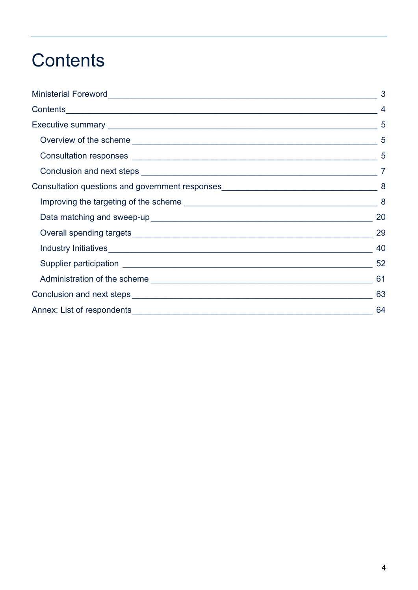## <span id="page-3-0"></span>**Contents**

|  | 8  |
|--|----|
|  | 20 |
|  | 29 |
|  | 40 |
|  | 52 |
|  |    |
|  | 63 |
|  | 64 |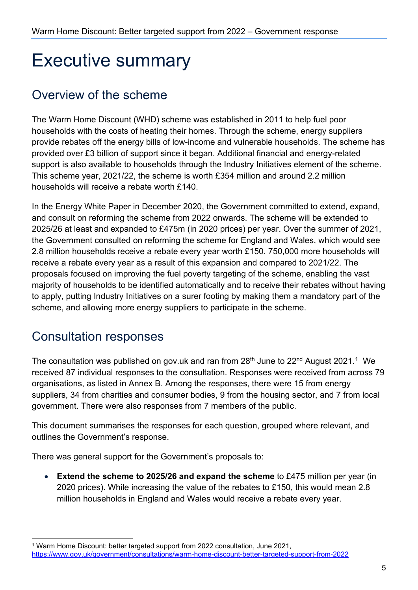## <span id="page-4-0"></span>Executive summary

## <span id="page-4-1"></span>Overview of the scheme

The Warm Home Discount (WHD) scheme was established in 2011 to help fuel poor households with the costs of heating their homes. Through the scheme, energy suppliers provide rebates off the energy bills of low-income and vulnerable households. The scheme has provided over £3 billion of support since it began. Additional financial and energy-related support is also available to households through the Industry Initiatives element of the scheme. This scheme year, 2021/22, the scheme is worth £354 million and around 2.2 million households will receive a rebate worth £140.

In the Energy White Paper in December 2020, the Government committed to extend, expand, and consult on reforming the scheme from 2022 onwards. The scheme will be extended to 2025/26 at least and expanded to £475m (in 2020 prices) per year. Over the summer of 2021, the Government consulted on reforming the scheme for England and Wales, which would see 2.8 million households receive a rebate every year worth £150. 750,000 more households will receive a rebate every year as a result of this expansion and compared to 2021/22. The proposals focused on improving the fuel poverty targeting of the scheme, enabling the vast majority of households to be identified automatically and to receive their rebates without having to apply, putting Industry Initiatives on a surer footing by making them a mandatory part of the scheme, and allowing more energy suppliers to participate in the scheme.

## <span id="page-4-2"></span>Consultation responses

The consultation was published on gov.uk and ran from  $28<sup>th</sup>$  June to  $22<sup>nd</sup>$  August  $2021<sup>1</sup>$  $2021<sup>1</sup>$  $2021<sup>1</sup>$  We received 87 individual responses to the consultation. Responses were received from across 79 organisations, as listed in Annex B. Among the responses, there were 15 from energy suppliers, 34 from charities and consumer bodies, 9 from the housing sector, and 7 from local government. There were also responses from 7 members of the public.

This document summarises the responses for each question, grouped where relevant, and outlines the Government's response.

There was general support for the Government's proposals to:

• **Extend the scheme to 2025/26 and expand the scheme** to £475 million per year (in 2020 prices). While increasing the value of the rebates to £150, this would mean 2.8 million households in England and Wales would receive a rebate every year.

<span id="page-4-3"></span><sup>1</sup> Warm Home Discount: better targeted support from 2022 consultation, June 2021, <https://www.gov.uk/government/consultations/warm-home-discount-better-targeted-support-from-2022>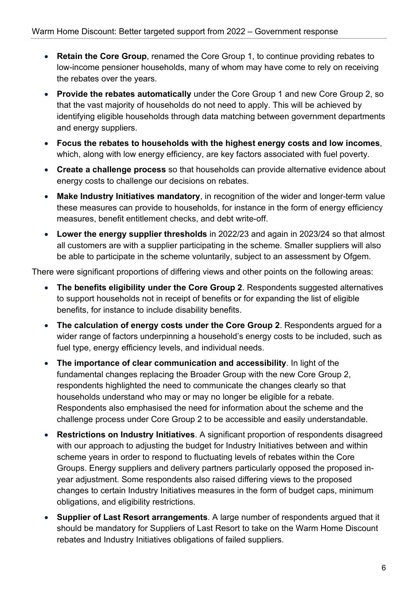- **Retain the Core Group**, renamed the Core Group 1, to continue providing rebates to low-income pensioner households, many of whom may have come to rely on receiving the rebates over the years.
- **Provide the rebates automatically** under the Core Group 1 and new Core Group 2, so that the vast majority of households do not need to apply. This will be achieved by identifying eligible households through data matching between government departments and energy suppliers.
- **Focus the rebates to households with the highest energy costs and low incomes**, which, along with low energy efficiency, are key factors associated with fuel poverty.
- **Create a challenge process** so that households can provide alternative evidence about energy costs to challenge our decisions on rebates.
- **Make Industry Initiatives mandatory**, in recognition of the wider and longer-term value these measures can provide to households, for instance in the form of energy efficiency measures, benefit entitlement checks, and debt write-off.
- **Lower the energy supplier thresholds** in 2022/23 and again in 2023/24 so that almost all customers are with a supplier participating in the scheme. Smaller suppliers will also be able to participate in the scheme voluntarily, subject to an assessment by Ofgem.

There were significant proportions of differing views and other points on the following areas:

- **The benefits eligibility under the Core Group 2**. Respondents suggested alternatives to support households not in receipt of benefits or for expanding the list of eligible benefits, for instance to include disability benefits.
- **The calculation of energy costs under the Core Group 2**. Respondents argued for a wider range of factors underpinning a household's energy costs to be included, such as fuel type, energy efficiency levels, and individual needs.
- **The importance of clear communication and accessibility**. In light of the fundamental changes replacing the Broader Group with the new Core Group 2, respondents highlighted the need to communicate the changes clearly so that households understand who may or may no longer be eligible for a rebate. Respondents also emphasised the need for information about the scheme and the challenge process under Core Group 2 to be accessible and easily understandable.
- **Restrictions on Industry Initiatives**. A significant proportion of respondents disagreed with our approach to adjusting the budget for Industry Initiatives between and within scheme years in order to respond to fluctuating levels of rebates within the Core Groups. Energy suppliers and delivery partners particularly opposed the proposed inyear adjustment. Some respondents also raised differing views to the proposed changes to certain Industry Initiatives measures in the form of budget caps, minimum obligations, and eligibility restrictions.
- **Supplier of Last Resort arrangements**. A large number of respondents argued that it should be mandatory for Suppliers of Last Resort to take on the Warm Home Discount rebates and Industry Initiatives obligations of failed suppliers.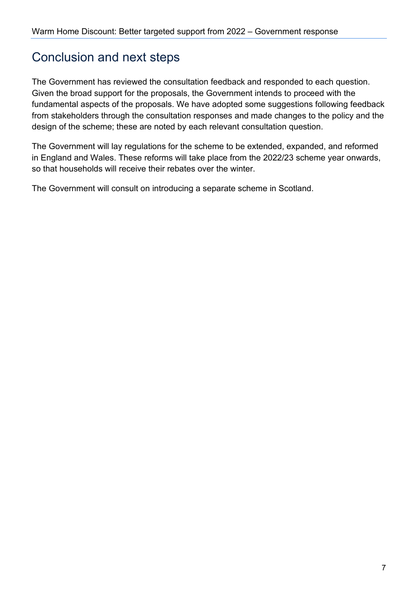### <span id="page-6-0"></span>Conclusion and next steps

The Government has reviewed the consultation feedback and responded to each question. Given the broad support for the proposals, the Government intends to proceed with the fundamental aspects of the proposals. We have adopted some suggestions following feedback from stakeholders through the consultation responses and made changes to the policy and the design of the scheme; these are noted by each relevant consultation question.

The Government will lay regulations for the scheme to be extended, expanded, and reformed in England and Wales. These reforms will take place from the 2022/23 scheme year onwards, so that households will receive their rebates over the winter.

The Government will consult on introducing a separate scheme in Scotland.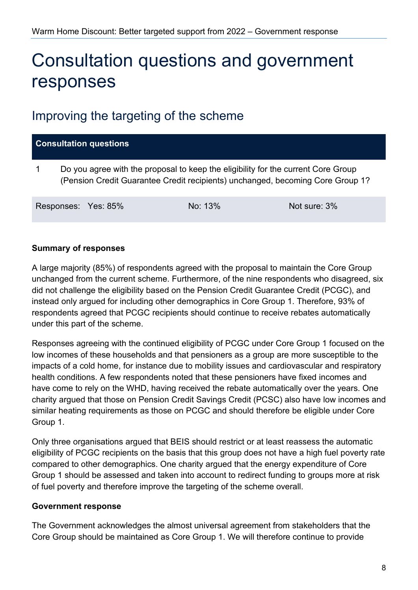## <span id="page-7-0"></span>Consultation questions and government responses

### <span id="page-7-1"></span>Improving the targeting of the scheme

| <b>Consultation questions</b> |  |                                                                                                                                                                     |              |  |
|-------------------------------|--|---------------------------------------------------------------------------------------------------------------------------------------------------------------------|--------------|--|
|                               |  | Do you agree with the proposal to keep the eligibility for the current Core Group<br>(Pension Credit Guarantee Credit recipients) unchanged, becoming Core Group 1? |              |  |
| Responses: Yes: 85%           |  | No: 13%                                                                                                                                                             | Not sure: 3% |  |

#### **Summary of responses**

A large majority (85%) of respondents agreed with the proposal to maintain the Core Group unchanged from the current scheme. Furthermore, of the nine respondents who disagreed, six did not challenge the eligibility based on the Pension Credit Guarantee Credit (PCGC), and instead only argued for including other demographics in Core Group 1. Therefore, 93% of respondents agreed that PCGC recipients should continue to receive rebates automatically under this part of the scheme.

Responses agreeing with the continued eligibility of PCGC under Core Group 1 focused on the low incomes of these households and that pensioners as a group are more susceptible to the impacts of a cold home, for instance due to mobility issues and cardiovascular and respiratory health conditions. A few respondents noted that these pensioners have fixed incomes and have come to rely on the WHD, having received the rebate automatically over the years. One charity argued that those on Pension Credit Savings Credit (PCSC) also have low incomes and similar heating requirements as those on PCGC and should therefore be eligible under Core Group 1.

Only three organisations argued that BEIS should restrict or at least reassess the automatic eligibility of PCGC recipients on the basis that this group does not have a high fuel poverty rate compared to other demographics. One charity argued that the energy expenditure of Core Group 1 should be assessed and taken into account to redirect funding to groups more at risk of fuel poverty and therefore improve the targeting of the scheme overall.

#### **Government response**

The Government acknowledges the almost universal agreement from stakeholders that the Core Group should be maintained as Core Group 1. We will therefore continue to provide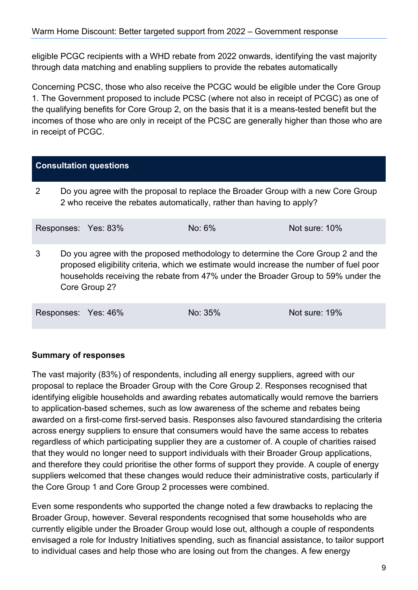eligible PCGC recipients with a WHD rebate from 2022 onwards, identifying the vast majority through data matching and enabling suppliers to provide the rebates automatically

Concerning PCSC, those who also receive the PCGC would be eligible under the Core Group 1. The Government proposed to include PCSC (where not also in receipt of PCGC) as one of the qualifying benefits for Core Group 2, on the basis that it is a means-tested benefit but the incomes of those who are only in receipt of the PCSC are generally higher than those who are in receipt of PCGC.

#### **Consultation questions**

2 Do you agree with the proposal to replace the Broader Group with a new Core Group 2 who receive the rebates automatically, rather than having to apply?

|   | Responses: Yes: 83% | No: $6\%$                                                                                                                                                                                                                                                        | Not sure: 10% |
|---|---------------------|------------------------------------------------------------------------------------------------------------------------------------------------------------------------------------------------------------------------------------------------------------------|---------------|
| 3 | Core Group 2?       | Do you agree with the proposed methodology to determine the Core Group 2 and the<br>proposed eligibility criteria, which we estimate would increase the number of fuel poor<br>households receiving the rebate from 47% under the Broader Group to 59% under the |               |

Responses: Yes: 46% No: 35% Not sure: 19%

**Summary of responses**

The vast majority (83%) of respondents, including all energy suppliers, agreed with our proposal to replace the Broader Group with the Core Group 2. Responses recognised that identifying eligible households and awarding rebates automatically would remove the barriers to application-based schemes, such as low awareness of the scheme and rebates being awarded on a first-come first-served basis. Responses also favoured standardising the criteria across energy suppliers to ensure that consumers would have the same access to rebates regardless of which participating supplier they are a customer of. A couple of charities raised that they would no longer need to support individuals with their Broader Group applications, and therefore they could prioritise the other forms of support they provide. A couple of energy suppliers welcomed that these changes would reduce their administrative costs, particularly if the Core Group 1 and Core Group 2 processes were combined.

Even some respondents who supported the change noted a few drawbacks to replacing the Broader Group, however. Several respondents recognised that some households who are currently eligible under the Broader Group would lose out, although a couple of respondents envisaged a role for Industry Initiatives spending, such as financial assistance, to tailor support to individual cases and help those who are losing out from the changes. A few energy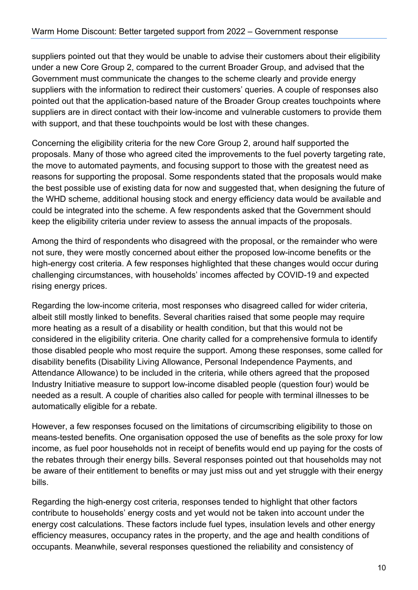suppliers pointed out that they would be unable to advise their customers about their eligibility under a new Core Group 2, compared to the current Broader Group, and advised that the Government must communicate the changes to the scheme clearly and provide energy suppliers with the information to redirect their customers' queries. A couple of responses also pointed out that the application-based nature of the Broader Group creates touchpoints where suppliers are in direct contact with their low-income and vulnerable customers to provide them with support, and that these touchpoints would be lost with these changes.

Concerning the eligibility criteria for the new Core Group 2, around half supported the proposals. Many of those who agreed cited the improvements to the fuel poverty targeting rate, the move to automated payments, and focusing support to those with the greatest need as reasons for supporting the proposal. Some respondents stated that the proposals would make the best possible use of existing data for now and suggested that, when designing the future of the WHD scheme, additional housing stock and energy efficiency data would be available and could be integrated into the scheme. A few respondents asked that the Government should keep the eligibility criteria under review to assess the annual impacts of the proposals.

Among the third of respondents who disagreed with the proposal, or the remainder who were not sure, they were mostly concerned about either the proposed low-income benefits or the high-energy cost criteria. A few responses highlighted that these changes would occur during challenging circumstances, with households' incomes affected by COVID-19 and expected rising energy prices.

Regarding the low-income criteria, most responses who disagreed called for wider criteria, albeit still mostly linked to benefits. Several charities raised that some people may require more heating as a result of a disability or health condition, but that this would not be considered in the eligibility criteria. One charity called for a comprehensive formula to identify those disabled people who most require the support. Among these responses, some called for disability benefits (Disability Living Allowance, Personal Independence Payments, and Attendance Allowance) to be included in the criteria, while others agreed that the proposed Industry Initiative measure to support low-income disabled people (question four) would be needed as a result. A couple of charities also called for people with terminal illnesses to be automatically eligible for a rebate.

However, a few responses focused on the limitations of circumscribing eligibility to those on means-tested benefits. One organisation opposed the use of benefits as the sole proxy for low income, as fuel poor households not in receipt of benefits would end up paying for the costs of the rebates through their energy bills. Several responses pointed out that households may not be aware of their entitlement to benefits or may just miss out and yet struggle with their energy bills.

Regarding the high-energy cost criteria, responses tended to highlight that other factors contribute to households' energy costs and yet would not be taken into account under the energy cost calculations. These factors include fuel types, insulation levels and other energy efficiency measures, occupancy rates in the property, and the age and health conditions of occupants. Meanwhile, several responses questioned the reliability and consistency of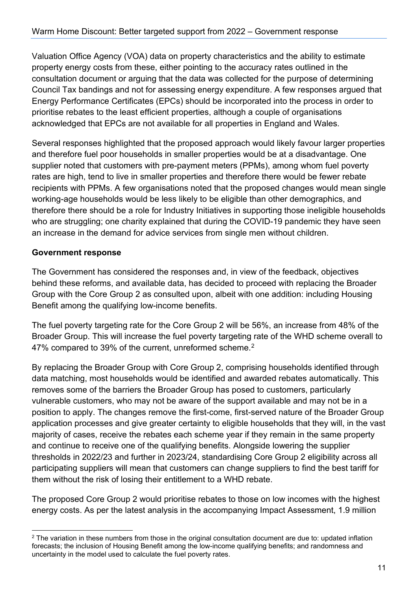Valuation Office Agency (VOA) data on property characteristics and the ability to estimate property energy costs from these, either pointing to the accuracy rates outlined in the consultation document or arguing that the data was collected for the purpose of determining Council Tax bandings and not for assessing energy expenditure. A few responses argued that Energy Performance Certificates (EPCs) should be incorporated into the process in order to prioritise rebates to the least efficient properties, although a couple of organisations acknowledged that EPCs are not available for all properties in England and Wales.

Several responses highlighted that the proposed approach would likely favour larger properties and therefore fuel poor households in smaller properties would be at a disadvantage. One supplier noted that customers with pre-payment meters (PPMs), among whom fuel poverty rates are high, tend to live in smaller properties and therefore there would be fewer rebate recipients with PPMs. A few organisations noted that the proposed changes would mean single working-age households would be less likely to be eligible than other demographics, and therefore there should be a role for Industry Initiatives in supporting those ineligible households who are struggling; one charity explained that during the COVID-19 pandemic they have seen an increase in the demand for advice services from single men without children.

#### **Government response**

The Government has considered the responses and, in view of the feedback, objectives behind these reforms, and available data, has decided to proceed with replacing the Broader Group with the Core Group 2 as consulted upon, albeit with one addition: including Housing Benefit among the qualifying low-income benefits.

The fuel poverty targeting rate for the Core Group 2 will be 56%, an increase from 48% of the Broader Group. This will increase the fuel poverty targeting rate of the WHD scheme overall to 47% compared to 39% of the current, unreformed scheme.<sup>[2](#page-10-0)</sup>

By replacing the Broader Group with Core Group 2, comprising households identified through data matching, most households would be identified and awarded rebates automatically. This removes some of the barriers the Broader Group has posed to customers, particularly vulnerable customers, who may not be aware of the support available and may not be in a position to apply. The changes remove the first-come, first-served nature of the Broader Group application processes and give greater certainty to eligible households that they will, in the vast majority of cases, receive the rebates each scheme year if they remain in the same property and continue to receive one of the qualifying benefits. Alongside lowering the supplier thresholds in 2022/23 and further in 2023/24, standardising Core Group 2 eligibility across all participating suppliers will mean that customers can change suppliers to find the best tariff for them without the risk of losing their entitlement to a WHD rebate.

The proposed Core Group 2 would prioritise rebates to those on low incomes with the highest energy costs. As per the latest analysis in the accompanying Impact Assessment, 1.9 million

<span id="page-10-0"></span><sup>&</sup>lt;sup>2</sup> The variation in these numbers from those in the original consultation document are due to: updated inflation forecasts; the inclusion of Housing Benefit among the low-income qualifying benefits; and randomness and uncertainty in the model used to calculate the fuel poverty rates.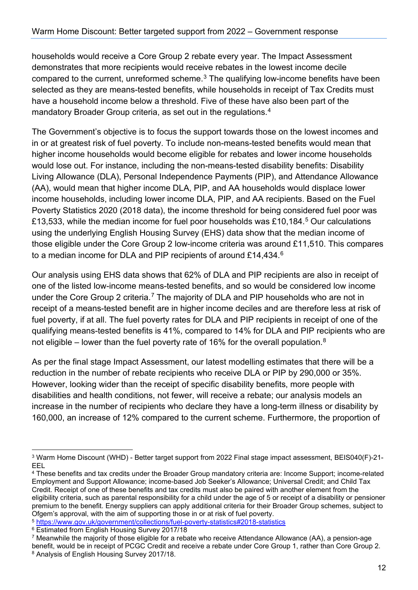households would receive a Core Group 2 rebate every year. The Impact Assessment demonstrates that more recipients would receive rebates in the lowest income decile compared to the current, unreformed scheme.<sup>[3](#page-11-0)</sup> The qualifying low-income benefits have been selected as they are means-tested benefits, while households in receipt of Tax Credits must have a household income below a threshold. Five of these have also been part of the mandatory Broader Group criteria, as set out in the regulations.<sup>4</sup>

The Government's objective is to focus the support towards those on the lowest incomes and in or at greatest risk of fuel poverty. To include non-means-tested benefits would mean that higher income households would become eligible for rebates and lower income households would lose out. For instance, including the non-means-tested disability benefits: Disability Living Allowance (DLA), Personal Independence Payments (PIP), and Attendance Allowance (AA), would mean that higher income DLA, PIP, and AA households would displace lower income households, including lower income DLA, PIP, and AA recipients. Based on the Fuel Poverty Statistics 2020 (2018 data), the income threshold for being considered fuel poor was £13,533, while the median income for fuel poor households was £10,184.[5](#page-11-2) Our calculations using the underlying English Housing Survey (EHS) data show that the median income of those eligible under the Core Group 2 low-income criteria was around £11,510. This compares to a median income for DLA and PIP recipients of around £14,434.<sup>6</sup>

Our analysis using EHS data shows that 62% of DLA and PIP recipients are also in receipt of one of the listed low-income means-tested benefits, and so would be considered low income under the Core Group 2 criteria.<sup>[7](#page-11-4)</sup> The majority of DLA and PIP households who are not in receipt of a means-tested benefit are in higher income deciles and are therefore less at risk of fuel poverty, if at all. The fuel poverty rates for DLA and PIP recipients in receipt of one of the qualifying means-tested benefits is 41%, compared to 14% for DLA and PIP recipients who are not eligible – lower than the fuel poverty rate of 16% for the overall population.<sup>[8](#page-11-5)</sup>

As per the final stage Impact Assessment, our latest modelling estimates that there will be a reduction in the number of rebate recipients who receive DLA or PIP by 290,000 or 35%. However, looking wider than the receipt of specific disability benefits, more people with disabilities and health conditions, not fewer, will receive a rebate; our analysis models an increase in the number of recipients who declare they have a long-term illness or disability by 160,000, an increase of 12% compared to the current scheme. Furthermore, the proportion of

<span id="page-11-2"></span><sup>5</sup> <https://www.gov.uk/government/collections/fuel-poverty-statistics#2018-statistics>

<span id="page-11-0"></span><sup>3</sup> Warm Home Discount (WHD) - Better target support from 2022 Final stage impact assessment, BEIS040(F)-21- EEL 4 These benefits and tax credits under the Broader Group mandatory criteria are: Income Support; income-related

<span id="page-11-1"></span>Employment and Support Allowance; income-based Job Seeker's Allowance; Universal Credit; and Child Tax Credit. Receipt of one of these benefits and tax credits must also be paired with another element from the eligibility criteria, such as parental responsibility for a child under the age of 5 or receipt of a disability or pensioner premium to the benefit. Energy suppliers can apply additional criteria for their Broader Group schemes, subject to<br>Ofgem's approval, with the aim of supporting those in or at risk of fuel poverty.

<span id="page-11-3"></span><sup>6</sup> Estimated from English Housing Survey 2017/18

<span id="page-11-5"></span><span id="page-11-4"></span><sup>7</sup> Meanwhile the majority of those eligible for a rebate who receive Attendance Allowance (AA), a pension-age benefit, would be in receipt of PCGC Credit and receive a rebate under Core Group 1, rather than Core Group 2. <sup>8</sup> Analysis of English Housing Survey 2017/18.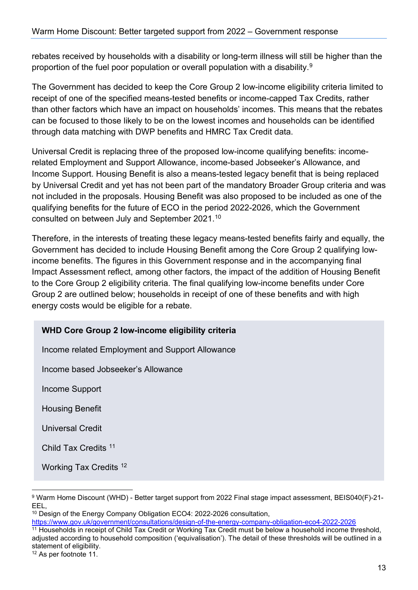rebates received by households with a disability or long-term illness will still be higher than the proportion of the fuel poor population or overall population with a disability.<sup>[9](#page-12-0)</sup>

The Government has decided to keep the Core Group 2 low-income eligibility criteria limited to receipt of one of the specified means-tested benefits or income-capped Tax Credits, rather than other factors which have an impact on households' incomes. This means that the rebates can be focused to those likely to be on the lowest incomes and households can be identified through data matching with DWP benefits and HMRC Tax Credit data.

Universal Credit is replacing three of the proposed low-income qualifying benefits: incomerelated Employment and Support Allowance, income-based Jobseeker's Allowance, and Income Support. Housing Benefit is also a means-tested legacy benefit that is being replaced by Universal Credit and yet has not been part of the mandatory Broader Group criteria and was not included in the proposals. Housing Benefit was also proposed to be included as one of the qualifying benefits for the future of ECO in the period 2022-2026, which the Government consulted on between July and September 2021.[10](#page-12-1)

Therefore, in the interests of treating these legacy means-tested benefits fairly and equally, the Government has decided to include Housing Benefit among the Core Group 2 qualifying lowincome benefits. The figures in this Government response and in the accompanying final Impact Assessment reflect, among other factors, the impact of the addition of Housing Benefit to the Core Group 2 eligibility criteria. The final qualifying low-income benefits under Core Group 2 are outlined below; households in receipt of one of these benefits and with high energy costs would be eligible for a rebate.

#### **WHD Core Group 2 low-income eligibility criteria**

Income related Employment and Support Allowance

Income based Jobseeker's Allowance

Income Support

Housing Benefit

Universal Credit

Child Tax Credits [11](#page-12-2)

Working Tax Credits [12](#page-12-3)

<span id="page-12-1"></span><sup>10</sup> Design of the Energy Company Obligation ECO4: 2022-2026 consultation,<br>https://www.gov.uk/government/consultations/design-of-the-energy-company-obligation-eco4-2022-2026

<span id="page-12-0"></span><sup>9</sup> Warm Home Discount (WHD) - Better target support from 2022 Final stage impact assessment, BEIS040(F)-21- EEL,

<span id="page-12-2"></span><sup>&</sup>lt;sup>11</sup> Households in receipt of Child Tax Credit or Working Tax Credit must be below a household income threshold, adjusted according to household composition ('equivalisation'). The detail of these thresholds will be outlined in a statement of eligibility.

<span id="page-12-3"></span><sup>12</sup> As per footnote 11.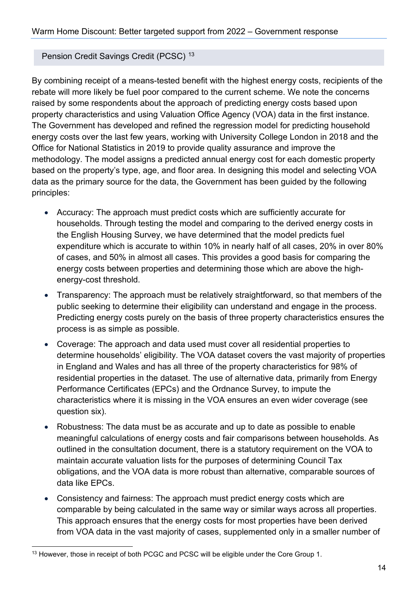#### Pension Credit Savings Credit (PCSC) [13](#page-13-0)

By combining receipt of a means-tested benefit with the highest energy costs, recipients of the rebate will more likely be fuel poor compared to the current scheme. We note the concerns raised by some respondents about the approach of predicting energy costs based upon property characteristics and using Valuation Office Agency (VOA) data in the first instance. The Government has developed and refined the regression model for predicting household energy costs over the last few years, working with University College London in 2018 and the Office for National Statistics in 2019 to provide quality assurance and improve the methodology. The model assigns a predicted annual energy cost for each domestic property based on the property's type, age, and floor area. In designing this model and selecting VOA data as the primary source for the data, the Government has been guided by the following principles:

- Accuracy: The approach must predict costs which are sufficiently accurate for households. Through testing the model and comparing to the derived energy costs in the English Housing Survey, we have determined that the model predicts fuel expenditure which is accurate to within 10% in nearly half of all cases, 20% in over 80% of cases, and 50% in almost all cases. This provides a good basis for comparing the energy costs between properties and determining those which are above the highenergy-cost threshold.
- Transparency: The approach must be relatively straightforward, so that members of the public seeking to determine their eligibility can understand and engage in the process. Predicting energy costs purely on the basis of three property characteristics ensures the process is as simple as possible.
- Coverage: The approach and data used must cover all residential properties to determine households' eligibility. The VOA dataset covers the vast majority of properties in England and Wales and has all three of the property characteristics for 98% of residential properties in the dataset. The use of alternative data, primarily from Energy Performance Certificates (EPCs) and the Ordnance Survey, to impute the characteristics where it is missing in the VOA ensures an even wider coverage (see question six).
- Robustness: The data must be as accurate and up to date as possible to enable meaningful calculations of energy costs and fair comparisons between households. As outlined in the consultation document, there is a statutory requirement on the VOA to maintain accurate valuation lists for the purposes of determining Council Tax obligations, and the VOA data is more robust than alternative, comparable sources of data like EPCs.
- Consistency and fairness: The approach must predict energy costs which are comparable by being calculated in the same way or similar ways across all properties. This approach ensures that the energy costs for most properties have been derived from VOA data in the vast majority of cases, supplemented only in a smaller number of

<span id="page-13-0"></span><sup>&</sup>lt;sup>13</sup> However, those in receipt of both PCGC and PCSC will be eligible under the Core Group 1.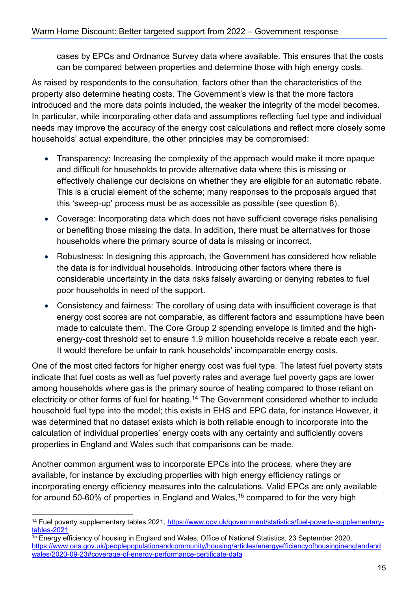cases by EPCs and Ordnance Survey data where available. This ensures that the costs can be compared between properties and determine those with high energy costs.

As raised by respondents to the consultation, factors other than the characteristics of the property also determine heating costs. The Government's view is that the more factors introduced and the more data points included, the weaker the integrity of the model becomes. In particular, while incorporating other data and assumptions reflecting fuel type and individual needs may improve the accuracy of the energy cost calculations and reflect more closely some households' actual expenditure, the other principles may be compromised:

- Transparency: Increasing the complexity of the approach would make it more opaque and difficult for households to provide alternative data where this is missing or effectively challenge our decisions on whether they are eligible for an automatic rebate. This is a crucial element of the scheme; many responses to the proposals argued that this 'sweep-up' process must be as accessible as possible (see question 8).
- Coverage: Incorporating data which does not have sufficient coverage risks penalising or benefiting those missing the data. In addition, there must be alternatives for those households where the primary source of data is missing or incorrect.
- Robustness: In designing this approach, the Government has considered how reliable the data is for individual households. Introducing other factors where there is considerable uncertainty in the data risks falsely awarding or denying rebates to fuel poor households in need of the support.
- Consistency and fairness: The corollary of using data with insufficient coverage is that energy cost scores are not comparable, as different factors and assumptions have been made to calculate them. The Core Group 2 spending envelope is limited and the highenergy-cost threshold set to ensure 1.9 million households receive a rebate each year. It would therefore be unfair to rank households' incomparable energy costs.

One of the most cited factors for higher energy cost was fuel type. The latest fuel poverty stats indicate that fuel costs as well as fuel poverty rates and average fuel poverty gaps are lower among households where gas is the primary source of heating compared to those reliant on electricity or other forms of fuel for heating.<sup>[14](#page-14-0)</sup> The Government considered whether to include household fuel type into the model; this exists in EHS and EPC data, for instance However, it was determined that no dataset exists which is both reliable enough to incorporate into the calculation of individual properties' energy costs with any certainty and sufficiently covers properties in England and Wales such that comparisons can be made.

Another common argument was to incorporate EPCs into the process, where they are available, for instance by excluding properties with high energy efficiency ratings or incorporating energy efficiency measures into the calculations. Valid EPCs are only available for around 50-60% of properties in England and Wales, [15](#page-14-1) compared to for the very high

<span id="page-14-0"></span><sup>&</sup>lt;sup>14</sup> Fuel poverty supplementary tables 2021, [https://www.gov.uk/government/statistics/fuel-poverty-supplementary-](https://www.gov.uk/government/statistics/fuel-poverty-supplementary-tables-2021)

<span id="page-14-1"></span>tables-2021<br><sup>15</sup> Energy efficiency of housing in England and Wales, Office of National Statistics, 23 September 2020, [https://www.ons.gov.uk/peoplepopulationandcommunity/housing/articles/energyefficiencyofhousinginenglandand](https://www.ons.gov.uk/peoplepopulationandcommunity/housing/articles/energyefficiencyofhousinginenglandandwales/2020-09-23#coverage-of-energy-performance-certificate-data) [wales/2020-09-23#coverage-of-energy-performance-certificate-data](https://www.ons.gov.uk/peoplepopulationandcommunity/housing/articles/energyefficiencyofhousinginenglandandwales/2020-09-23#coverage-of-energy-performance-certificate-data)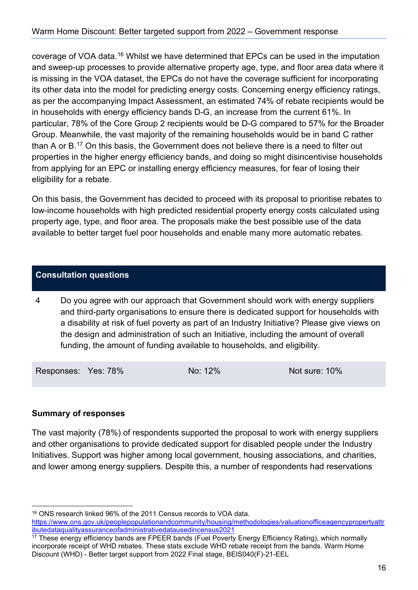coverage of VOA data.[16](#page-15-0) Whilst we have determined that EPCs can be used in the imputation and sweep-up processes to provide alternative property age, type, and floor area data where it is missing in the VOA dataset, the EPCs do not have the coverage sufficient for incorporating its other data into the model for predicting energy costs. Concerning energy efficiency ratings, as per the accompanying Impact Assessment, an estimated 74% of rebate recipients would be in households with energy efficiency bands D-G, an increase from the current 61%. In particular, 78% of the Core Group 2 recipients would be D-G compared to 57% for the Broader Group. Meanwhile, the vast majority of the remaining households would be in band C rather than A or B.[17](#page-15-1) On this basis, the Government does not believe there is a need to filter out properties in the higher energy efficiency bands, and doing so might disincentivise households from applying for an EPC or installing energy efficiency measures, for fear of losing their eligibility for a rebate.

On this basis, the Government has decided to proceed with its proposal to prioritise rebates to low-income households with high predicted residential property energy costs calculated using property age, type, and floor area. The proposals make the best possible use of the data available to better target fuel poor households and enable many more automatic rebates.

#### **Consultation questions**

4 Do you agree with our approach that Government should work with energy suppliers and third-party organisations to ensure there is dedicated support for households with a disability at risk of fuel poverty as part of an Industry Initiative? Please give views on the design and administration of such an Initiative, including the amount of overall funding, the amount of funding available to households, and eligibility.

Responses: Yes: 78% No: 12% Not sure: 10%

#### **Summary of responses**

The vast majority (78%) of respondents supported the proposal to work with energy suppliers and other organisations to provide dedicated support for disabled people under the Industry Initiatives. Support was higher among local government, housing associations, and charities, and lower among energy suppliers. Despite this, a number of respondents had reservations

<span id="page-15-0"></span><sup>16</sup> ONS research linked 96% of the 2011 Census records to VOA data.

[https://www.ons.gov.uk/peoplepopulationandcommunity/housing/methodologies/valuationofficeagencypropertyattr](https://www.ons.gov.uk/peoplepopulationandcommunity/housing/methodologies/valuationofficeagencypropertyattributedataqualityassuranceofadministrativedatausedincensus2021)e/<br>ibutedataqualityassuranceofadministrativedatausedincensus2021

<span id="page-15-1"></span> $\frac{17}{17}$  These energy efficiency bands are FPEER bands (Fuel Poverty Energy Efficiency Rating), which normally incorporate receipt of WHD rebates. These stats exclude WHD rebate receipt from the bands. Warm Home Discount (WHD) - Better target support from 2022 Final stage, BEIS040(F)-21-EEL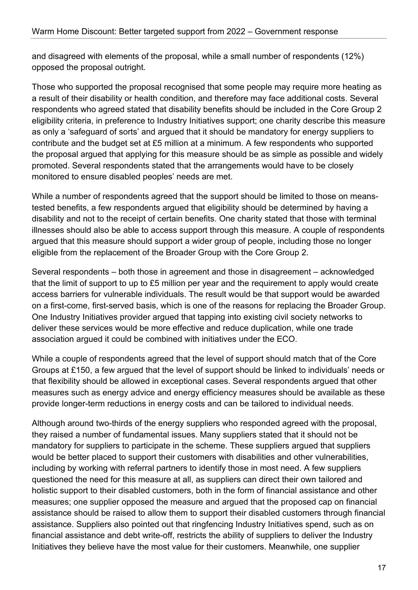and disagreed with elements of the proposal, while a small number of respondents (12%) opposed the proposal outright.

Those who supported the proposal recognised that some people may require more heating as a result of their disability or health condition, and therefore may face additional costs. Several respondents who agreed stated that disability benefits should be included in the Core Group 2 eligibility criteria, in preference to Industry Initiatives support; one charity describe this measure as only a 'safeguard of sorts' and argued that it should be mandatory for energy suppliers to contribute and the budget set at £5 million at a minimum. A few respondents who supported the proposal argued that applying for this measure should be as simple as possible and widely promoted. Several respondents stated that the arrangements would have to be closely monitored to ensure disabled peoples' needs are met.

While a number of respondents agreed that the support should be limited to those on meanstested benefits, a few respondents argued that eligibility should be determined by having a disability and not to the receipt of certain benefits. One charity stated that those with terminal illnesses should also be able to access support through this measure. A couple of respondents argued that this measure should support a wider group of people, including those no longer eligible from the replacement of the Broader Group with the Core Group 2.

Several respondents – both those in agreement and those in disagreement – acknowledged that the limit of support to up to £5 million per year and the requirement to apply would create access barriers for vulnerable individuals. The result would be that support would be awarded on a first-come, first-served basis, which is one of the reasons for replacing the Broader Group. One Industry Initiatives provider argued that tapping into existing civil society networks to deliver these services would be more effective and reduce duplication, while one trade association argued it could be combined with initiatives under the ECO.

While a couple of respondents agreed that the level of support should match that of the Core Groups at £150, a few argued that the level of support should be linked to individuals' needs or that flexibility should be allowed in exceptional cases. Several respondents argued that other measures such as energy advice and energy efficiency measures should be available as these provide longer-term reductions in energy costs and can be tailored to individual needs.

Although around two-thirds of the energy suppliers who responded agreed with the proposal, they raised a number of fundamental issues. Many suppliers stated that it should not be mandatory for suppliers to participate in the scheme. These suppliers argued that suppliers would be better placed to support their customers with disabilities and other vulnerabilities, including by working with referral partners to identify those in most need. A few suppliers questioned the need for this measure at all, as suppliers can direct their own tailored and holistic support to their disabled customers, both in the form of financial assistance and other measures; one supplier opposed the measure and argued that the proposed cap on financial assistance should be raised to allow them to support their disabled customers through financial assistance. Suppliers also pointed out that ringfencing Industry Initiatives spend, such as on financial assistance and debt write-off, restricts the ability of suppliers to deliver the Industry Initiatives they believe have the most value for their customers. Meanwhile, one supplier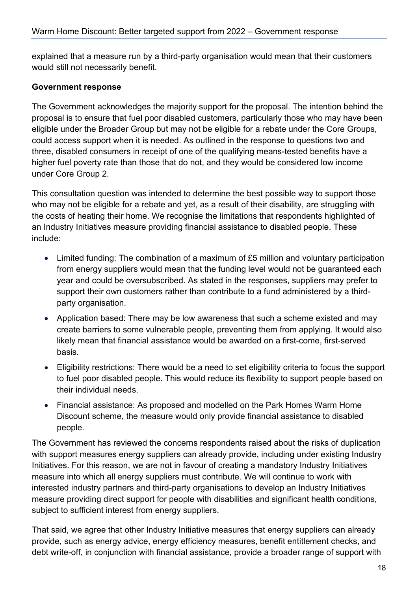explained that a measure run by a third-party organisation would mean that their customers would still not necessarily benefit.

#### **Government response**

The Government acknowledges the majority support for the proposal. The intention behind the proposal is to ensure that fuel poor disabled customers, particularly those who may have been eligible under the Broader Group but may not be eligible for a rebate under the Core Groups, could access support when it is needed. As outlined in the response to questions two and three, disabled consumers in receipt of one of the qualifying means-tested benefits have a higher fuel poverty rate than those that do not, and they would be considered low income under Core Group 2.

This consultation question was intended to determine the best possible way to support those who may not be eligible for a rebate and yet, as a result of their disability, are struggling with the costs of heating their home. We recognise the limitations that respondents highlighted of an Industry Initiatives measure providing financial assistance to disabled people. These include:

- Limited funding: The combination of a maximum of £5 million and voluntary participation from energy suppliers would mean that the funding level would not be guaranteed each year and could be oversubscribed. As stated in the responses, suppliers may prefer to support their own customers rather than contribute to a fund administered by a thirdparty organisation.
- Application based: There may be low awareness that such a scheme existed and may create barriers to some vulnerable people, preventing them from applying. It would also likely mean that financial assistance would be awarded on a first-come, first-served basis.
- Eligibility restrictions: There would be a need to set eligibility criteria to focus the support to fuel poor disabled people. This would reduce its flexibility to support people based on their individual needs.
- Financial assistance: As proposed and modelled on the Park Homes Warm Home Discount scheme, the measure would only provide financial assistance to disabled people.

The Government has reviewed the concerns respondents raised about the risks of duplication with support measures energy suppliers can already provide, including under existing Industry Initiatives. For this reason, we are not in favour of creating a mandatory Industry Initiatives measure into which all energy suppliers must contribute. We will continue to work with interested industry partners and third-party organisations to develop an Industry Initiatives measure providing direct support for people with disabilities and significant health conditions, subject to sufficient interest from energy suppliers.

That said, we agree that other Industry Initiative measures that energy suppliers can already provide, such as energy advice, energy efficiency measures, benefit entitlement checks, and debt write-off, in conjunction with financial assistance, provide a broader range of support with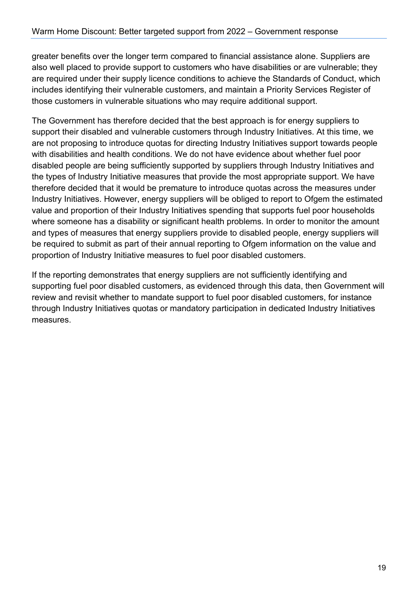greater benefits over the longer term compared to financial assistance alone. Suppliers are also well placed to provide support to customers who have disabilities or are vulnerable; they are required under their supply licence conditions to achieve the Standards of Conduct, which includes identifying their vulnerable customers, and maintain a Priority Services Register of those customers in vulnerable situations who may require additional support.

The Government has therefore decided that the best approach is for energy suppliers to support their disabled and vulnerable customers through Industry Initiatives. At this time, we are not proposing to introduce quotas for directing Industry Initiatives support towards people with disabilities and health conditions. We do not have evidence about whether fuel poor disabled people are being sufficiently supported by suppliers through Industry Initiatives and the types of Industry Initiative measures that provide the most appropriate support. We have therefore decided that it would be premature to introduce quotas across the measures under Industry Initiatives. However, energy suppliers will be obliged to report to Ofgem the estimated value and proportion of their Industry Initiatives spending that supports fuel poor households where someone has a disability or significant health problems. In order to monitor the amount and types of measures that energy suppliers provide to disabled people, energy suppliers will be required to submit as part of their annual reporting to Ofgem information on the value and proportion of Industry Initiative measures to fuel poor disabled customers.

If the reporting demonstrates that energy suppliers are not sufficiently identifying and supporting fuel poor disabled customers, as evidenced through this data, then Government will review and revisit whether to mandate support to fuel poor disabled customers, for instance through Industry Initiatives quotas or mandatory participation in dedicated Industry Initiatives measures.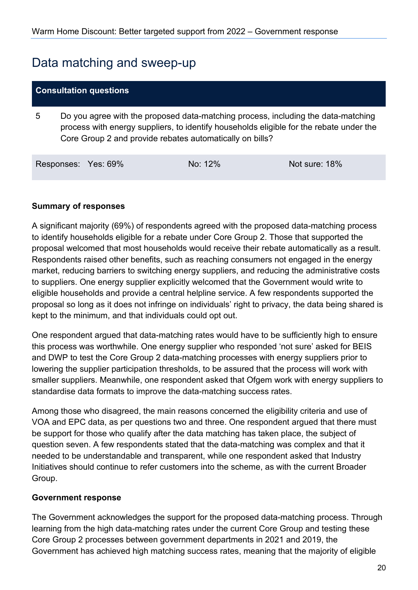### <span id="page-19-0"></span>Data matching and sweep-up

#### **Consultation questions**

5 Do you agree with the proposed data-matching process, including the data-matching process with energy suppliers, to identify households eligible for the rebate under the Core Group 2 and provide rebates automatically on bills?

| Responses: Yes: 69%<br>No: 12% | Not sure: 18% |
|--------------------------------|---------------|
|--------------------------------|---------------|

#### **Summary of responses**

A significant majority (69%) of respondents agreed with the proposed data-matching process to identify households eligible for a rebate under Core Group 2. Those that supported the proposal welcomed that most households would receive their rebate automatically as a result. Respondents raised other benefits, such as reaching consumers not engaged in the energy market, reducing barriers to switching energy suppliers, and reducing the administrative costs to suppliers. One energy supplier explicitly welcomed that the Government would write to eligible households and provide a central helpline service. A few respondents supported the proposal so long as it does not infringe on individuals' right to privacy, the data being shared is kept to the minimum, and that individuals could opt out.

One respondent argued that data-matching rates would have to be sufficiently high to ensure this process was worthwhile. One energy supplier who responded 'not sure' asked for BEIS and DWP to test the Core Group 2 data-matching processes with energy suppliers prior to lowering the supplier participation thresholds, to be assured that the process will work with smaller suppliers. Meanwhile, one respondent asked that Ofgem work with energy suppliers to standardise data formats to improve the data-matching success rates.

Among those who disagreed, the main reasons concerned the eligibility criteria and use of VOA and EPC data, as per questions two and three. One respondent argued that there must be support for those who qualify after the data matching has taken place, the subject of question seven. A few respondents stated that the data-matching was complex and that it needed to be understandable and transparent, while one respondent asked that Industry Initiatives should continue to refer customers into the scheme, as with the current Broader Group.

#### **Government response**

The Government acknowledges the support for the proposed data-matching process. Through learning from the high data-matching rates under the current Core Group and testing these Core Group 2 processes between government departments in 2021 and 2019, the Government has achieved high matching success rates, meaning that the majority of eligible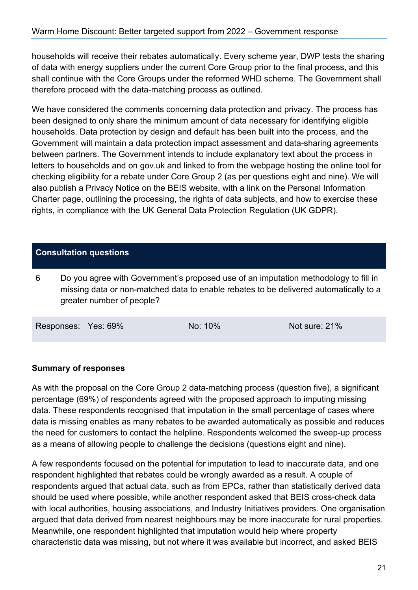households will receive their rebates automatically. Every scheme year, DWP tests the sharing of data with energy suppliers under the current Core Group prior to the final process, and this shall continue with the Core Groups under the reformed WHD scheme. The Government shall therefore proceed with the data-matching process as outlined.

We have considered the comments concerning data protection and privacy. The process has been designed to only share the minimum amount of data necessary for identifying eligible households. Data protection by design and default has been built into the process, and the Government will maintain a data protection impact assessment and data-sharing agreements between partners. The Government intends to include explanatory text about the process in letters to households and on gov.uk and linked to from the webpage hosting the online tool for checking eligibility for a rebate under Core Group 2 (as per questions eight and nine). We will also publish a Privacy Notice on the BEIS website, with a link on the Personal Information Charter page, outlining the processing, the rights of data subjects, and how to exercise these rights, in compliance with the UK General Data Protection Regulation (UK GDPR).

#### **Consultation questions**

6 Do you agree with Government's proposed use of an imputation methodology to fill in missing data or non-matched data to enable rebates to be delivered automatically to a greater number of people?

Responses: Yes: 69% No: 10% Not sure: 21%

#### **Summary of responses**

As with the proposal on the Core Group 2 data-matching process (question five), a significant percentage (69%) of respondents agreed with the proposed approach to imputing missing data. These respondents recognised that imputation in the small percentage of cases where data is missing enables as many rebates to be awarded automatically as possible and reduces the need for customers to contact the helpline. Respondents welcomed the sweep-up process as a means of allowing people to challenge the decisions (questions eight and nine).

A few respondents focused on the potential for imputation to lead to inaccurate data, and one respondent highlighted that rebates could be wrongly awarded as a result. A couple of respondents argued that actual data, such as from EPCs, rather than statistically derived data should be used where possible, while another respondent asked that BEIS cross-check data with local authorities, housing associations, and Industry Initiatives providers. One organisation argued that data derived from nearest neighbours may be more inaccurate for rural properties. Meanwhile, one respondent highlighted that imputation would help where property characteristic data was missing, but not where it was available but incorrect, and asked BEIS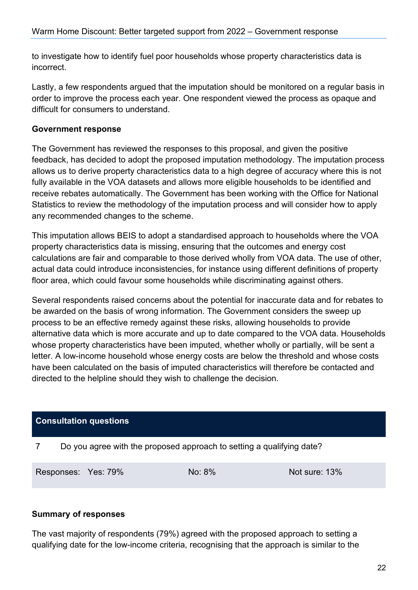to investigate how to identify fuel poor households whose property characteristics data is incorrect.

Lastly, a few respondents argued that the imputation should be monitored on a regular basis in order to improve the process each year. One respondent viewed the process as opaque and difficult for consumers to understand.

#### **Government response**

The Government has reviewed the responses to this proposal, and given the positive feedback, has decided to adopt the proposed imputation methodology. The imputation process allows us to derive property characteristics data to a high degree of accuracy where this is not fully available in the VOA datasets and allows more eligible households to be identified and receive rebates automatically. The Government has been working with the Office for National Statistics to review the methodology of the imputation process and will consider how to apply any recommended changes to the scheme.

This imputation allows BEIS to adopt a standardised approach to households where the VOA property characteristics data is missing, ensuring that the outcomes and energy cost calculations are fair and comparable to those derived wholly from VOA data. The use of other, actual data could introduce inconsistencies, for instance using different definitions of property floor area, which could favour some households while discriminating against others.

Several respondents raised concerns about the potential for inaccurate data and for rebates to be awarded on the basis of wrong information. The Government considers the sweep up process to be an effective remedy against these risks, allowing households to provide alternative data which is more accurate and up to date compared to the VOA data. Households whose property characteristics have been imputed, whether wholly or partially, will be sent a letter. A low-income household whose energy costs are below the threshold and whose costs have been calculated on the basis of imputed characteristics will therefore be contacted and directed to the helpline should they wish to challenge the decision.

#### **Consultation questions**

7 Do you agree with the proposed approach to setting a qualifying date?

Responses: Yes: 79% No: 8% No: 8% Not sure: 13%

#### **Summary of responses**

The vast majority of respondents (79%) agreed with the proposed approach to setting a qualifying date for the low-income criteria, recognising that the approach is similar to the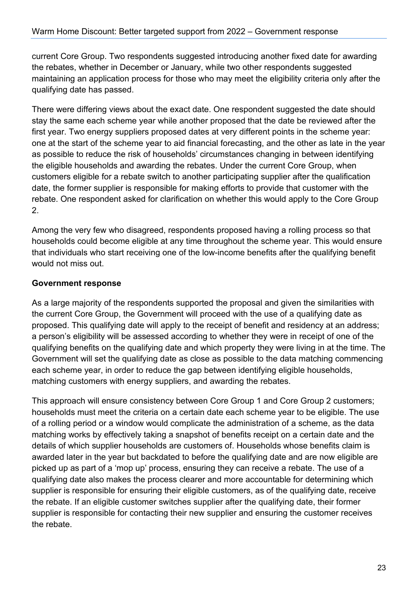current Core Group. Two respondents suggested introducing another fixed date for awarding the rebates, whether in December or January, while two other respondents suggested maintaining an application process for those who may meet the eligibility criteria only after the qualifying date has passed.

There were differing views about the exact date. One respondent suggested the date should stay the same each scheme year while another proposed that the date be reviewed after the first year. Two energy suppliers proposed dates at very different points in the scheme year: one at the start of the scheme year to aid financial forecasting, and the other as late in the year as possible to reduce the risk of households' circumstances changing in between identifying the eligible households and awarding the rebates. Under the current Core Group, when customers eligible for a rebate switch to another participating supplier after the qualification date, the former supplier is responsible for making efforts to provide that customer with the rebate. One respondent asked for clarification on whether this would apply to the Core Group 2.

Among the very few who disagreed, respondents proposed having a rolling process so that households could become eligible at any time throughout the scheme year. This would ensure that individuals who start receiving one of the low-income benefits after the qualifying benefit would not miss out.

#### **Government response**

As a large majority of the respondents supported the proposal and given the similarities with the current Core Group, the Government will proceed with the use of a qualifying date as proposed. This qualifying date will apply to the receipt of benefit and residency at an address; a person's eligibility will be assessed according to whether they were in receipt of one of the qualifying benefits on the qualifying date and which property they were living in at the time. The Government will set the qualifying date as close as possible to the data matching commencing each scheme year, in order to reduce the gap between identifying eligible households, matching customers with energy suppliers, and awarding the rebates.

This approach will ensure consistency between Core Group 1 and Core Group 2 customers; households must meet the criteria on a certain date each scheme year to be eligible. The use of a rolling period or a window would complicate the administration of a scheme, as the data matching works by effectively taking a snapshot of benefits receipt on a certain date and the details of which supplier households are customers of. Households whose benefits claim is awarded later in the year but backdated to before the qualifying date and are now eligible are picked up as part of a 'mop up' process, ensuring they can receive a rebate. The use of a qualifying date also makes the process clearer and more accountable for determining which supplier is responsible for ensuring their eligible customers, as of the qualifying date, receive the rebate. If an eligible customer switches supplier after the qualifying date, their former supplier is responsible for contacting their new supplier and ensuring the customer receives the rebate.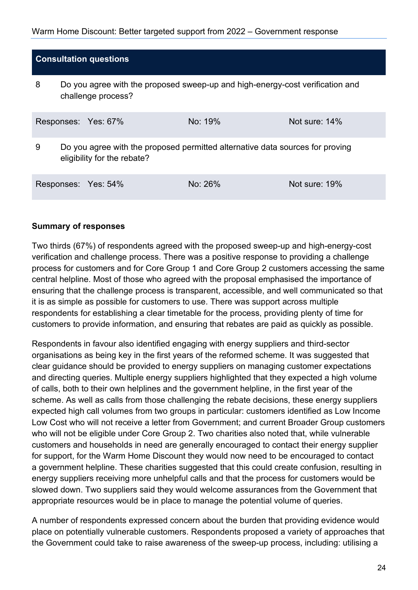#### Warm Home Discount: Better targeted support from 2022 – Government response

#### **Consultation questions**

8 Do you agree with the proposed sweep-up and high-energy-cost verification and challenge process?

|   | Responses: Yes: 67%                                                                                          | No: 19% | Not sure: $14\%$ |
|---|--------------------------------------------------------------------------------------------------------------|---------|------------------|
| 9 | Do you agree with the proposed permitted alternative data sources for proving<br>eligibility for the rebate? |         |                  |
|   | Responses: Yes: 54%                                                                                          | No: 26% | Not sure: 19%    |

#### **Summary of responses**

Two thirds (67%) of respondents agreed with the proposed sweep-up and high-energy-cost verification and challenge process. There was a positive response to providing a challenge process for customers and for Core Group 1 and Core Group 2 customers accessing the same central helpline. Most of those who agreed with the proposal emphasised the importance of ensuring that the challenge process is transparent, accessible, and well communicated so that it is as simple as possible for customers to use. There was support across multiple respondents for establishing a clear timetable for the process, providing plenty of time for customers to provide information, and ensuring that rebates are paid as quickly as possible.

Respondents in favour also identified engaging with energy suppliers and third-sector organisations as being key in the first years of the reformed scheme. It was suggested that clear guidance should be provided to energy suppliers on managing customer expectations and directing queries. Multiple energy suppliers highlighted that they expected a high volume of calls, both to their own helplines and the government helpline, in the first year of the scheme. As well as calls from those challenging the rebate decisions, these energy suppliers expected high call volumes from two groups in particular: customers identified as Low Income Low Cost who will not receive a letter from Government; and current Broader Group customers who will not be eligible under Core Group 2. Two charities also noted that, while vulnerable customers and households in need are generally encouraged to contact their energy supplier for support, for the Warm Home Discount they would now need to be encouraged to contact a government helpline. These charities suggested that this could create confusion, resulting in energy suppliers receiving more unhelpful calls and that the process for customers would be slowed down. Two suppliers said they would welcome assurances from the Government that appropriate resources would be in place to manage the potential volume of queries.

A number of respondents expressed concern about the burden that providing evidence would place on potentially vulnerable customers. Respondents proposed a variety of approaches that the Government could take to raise awareness of the sweep-up process, including: utilising a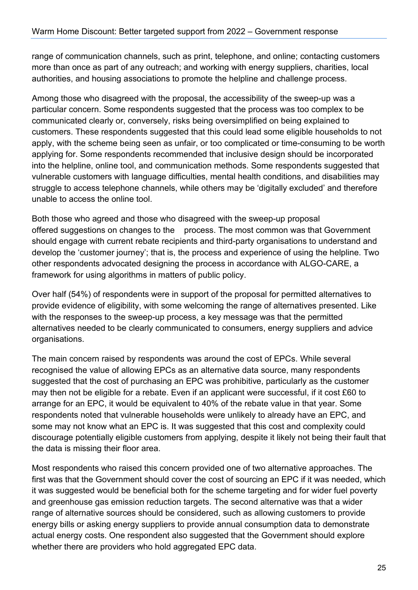range of communication channels, such as print, telephone, and online; contacting customers more than once as part of any outreach; and working with energy suppliers, charities, local authorities, and housing associations to promote the helpline and challenge process.

Among those who disagreed with the proposal, the accessibility of the sweep-up was a particular concern. Some respondents suggested that the process was too complex to be communicated clearly or, conversely, risks being oversimplified on being explained to customers. These respondents suggested that this could lead some eligible households to not apply, with the scheme being seen as unfair, or too complicated or time-consuming to be worth applying for. Some respondents recommended that inclusive design should be incorporated into the helpline, online tool, and communication methods. Some respondents suggested that vulnerable customers with language difficulties, mental health conditions, and disabilities may struggle to access telephone channels, while others may be 'digitally excluded' and therefore unable to access the online tool.

Both those who agreed and those who disagreed with the sweep-up proposal offered suggestions on changes to the process. The most common was that Government should engage with current rebate recipients and third-party organisations to understand and develop the 'customer journey'; that is, the process and experience of using the helpline. Two other respondents advocated designing the process in accordance with ALGO-CARE, a framework for using algorithms in matters of public policy.

Over half (54%) of respondents were in support of the proposal for permitted alternatives to provide evidence of eligibility, with some welcoming the range of alternatives presented. Like with the responses to the sweep-up process, a key message was that the permitted alternatives needed to be clearly communicated to consumers, energy suppliers and advice organisations.

The main concern raised by respondents was around the cost of EPCs. While several recognised the value of allowing EPCs as an alternative data source, many respondents suggested that the cost of purchasing an EPC was prohibitive, particularly as the customer may then not be eligible for a rebate. Even if an applicant were successful, if it cost £60 to arrange for an EPC, it would be equivalent to 40% of the rebate value in that year. Some respondents noted that vulnerable households were unlikely to already have an EPC, and some may not know what an EPC is. It was suggested that this cost and complexity could discourage potentially eligible customers from applying, despite it likely not being their fault that the data is missing their floor area.

Most respondents who raised this concern provided one of two alternative approaches. The first was that the Government should cover the cost of sourcing an EPC if it was needed, which it was suggested would be beneficial both for the scheme targeting and for wider fuel poverty and greenhouse gas emission reduction targets. The second alternative was that a wider range of alternative sources should be considered, such as allowing customers to provide energy bills or asking energy suppliers to provide annual consumption data to demonstrate actual energy costs. One respondent also suggested that the Government should explore whether there are providers who hold aggregated EPC data.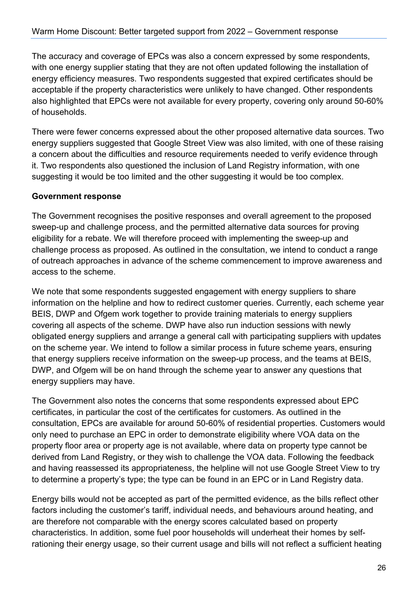The accuracy and coverage of EPCs was also a concern expressed by some respondents, with one energy supplier stating that they are not often updated following the installation of energy efficiency measures. Two respondents suggested that expired certificates should be acceptable if the property characteristics were unlikely to have changed. Other respondents also highlighted that EPCs were not available for every property, covering only around 50-60% of households.

There were fewer concerns expressed about the other proposed alternative data sources. Two energy suppliers suggested that Google Street View was also limited, with one of these raising a concern about the difficulties and resource requirements needed to verify evidence through it. Two respondents also questioned the inclusion of Land Registry information, with one suggesting it would be too limited and the other suggesting it would be too complex.

#### **Government response**

The Government recognises the positive responses and overall agreement to the proposed sweep-up and challenge process, and the permitted alternative data sources for proving eligibility for a rebate. We will therefore proceed with implementing the sweep-up and challenge process as proposed. As outlined in the consultation, we intend to conduct a range of outreach approaches in advance of the scheme commencement to improve awareness and access to the scheme.

We note that some respondents suggested engagement with energy suppliers to share information on the helpline and how to redirect customer queries. Currently, each scheme year BEIS, DWP and Ofgem work together to provide training materials to energy suppliers covering all aspects of the scheme. DWP have also run induction sessions with newly obligated energy suppliers and arrange a general call with participating suppliers with updates on the scheme year. We intend to follow a similar process in future scheme years, ensuring that energy suppliers receive information on the sweep-up process, and the teams at BEIS, DWP, and Ofgem will be on hand through the scheme year to answer any questions that energy suppliers may have.

The Government also notes the concerns that some respondents expressed about EPC certificates, in particular the cost of the certificates for customers. As outlined in the consultation, EPCs are available for around 50-60% of residential properties. Customers would only need to purchase an EPC in order to demonstrate eligibility where VOA data on the property floor area or property age is not available, where data on property type cannot be derived from Land Registry, or they wish to challenge the VOA data. Following the feedback and having reassessed its appropriateness, the helpline will not use Google Street View to try to determine a property's type; the type can be found in an EPC or in Land Registry data.

Energy bills would not be accepted as part of the permitted evidence, as the bills reflect other factors including the customer's tariff, individual needs, and behaviours around heating, and are therefore not comparable with the energy scores calculated based on property characteristics. In addition, some fuel poor households will underheat their homes by selfrationing their energy usage, so their current usage and bills will not reflect a sufficient heating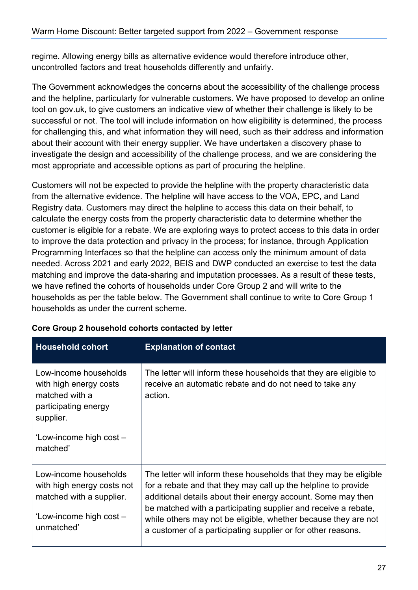regime. Allowing energy bills as alternative evidence would therefore introduce other, uncontrolled factors and treat households differently and unfairly.

The Government acknowledges the concerns about the accessibility of the challenge process and the helpline, particularly for vulnerable customers. We have proposed to develop an online tool on gov.uk, to give customers an indicative view of whether their challenge is likely to be successful or not. The tool will include information on how eligibility is determined, the process for challenging this, and what information they will need, such as their address and information about their account with their energy supplier. We have undertaken a discovery phase to investigate the design and accessibility of the challenge process, and we are considering the most appropriate and accessible options as part of procuring the helpline.

Customers will not be expected to provide the helpline with the property characteristic data from the alternative evidence. The helpline will have access to the VOA, EPC, and Land Registry data. Customers may direct the helpline to access this data on their behalf, to calculate the energy costs from the property characteristic data to determine whether the customer is eligible for a rebate. We are exploring ways to protect access to this data in order to improve the data protection and privacy in the process; for instance, through Application Programming Interfaces so that the helpline can access only the minimum amount of data needed. Across 2021 and early 2022, BEIS and DWP conducted an exercise to test the data matching and improve the data-sharing and imputation processes. As a result of these tests, we have refined the cohorts of households under Core Group 2 and will write to the households as per the table below. The Government shall continue to write to Core Group 1 households as under the current scheme.

| <b>Household cohort</b>                                                                                                                       | <b>Explanation of contact</b>                                                                                                                                                                                                                                                                                                                                                                           |
|-----------------------------------------------------------------------------------------------------------------------------------------------|---------------------------------------------------------------------------------------------------------------------------------------------------------------------------------------------------------------------------------------------------------------------------------------------------------------------------------------------------------------------------------------------------------|
| Low-income households<br>with high energy costs<br>matched with a<br>participating energy<br>supplier.<br>'Low-income high cost -<br>matched' | The letter will inform these households that they are eligible to<br>receive an automatic rebate and do not need to take any<br>action.                                                                                                                                                                                                                                                                 |
| Low-income households<br>with high energy costs not<br>matched with a supplier.<br>'Low-income high cost -<br>unmatched'                      | The letter will inform these households that they may be eligible<br>for a rebate and that they may call up the helpline to provide<br>additional details about their energy account. Some may then<br>be matched with a participating supplier and receive a rebate,<br>while others may not be eligible, whether because they are not<br>a customer of a participating supplier or for other reasons. |

#### **Core Group 2 household cohorts contacted by letter**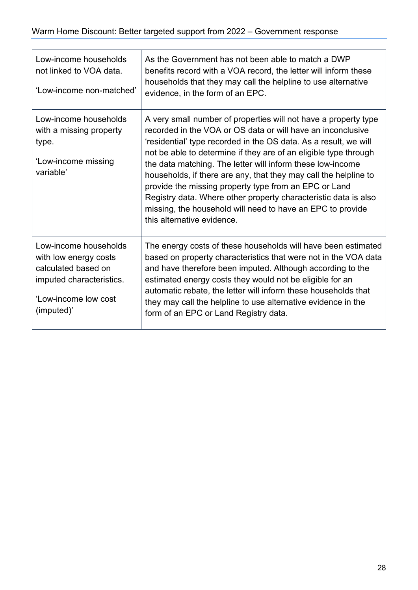| Low-income households<br>not linked to VOA data.<br>'Low-income non-matched'                                                            | As the Government has not been able to match a DWP<br>benefits record with a VOA record, the letter will inform these<br>households that they may call the helpline to use alternative<br>evidence, in the form of an EPC.                                                                                                                                                                                                                                                                                                                                                                                                       |
|-----------------------------------------------------------------------------------------------------------------------------------------|----------------------------------------------------------------------------------------------------------------------------------------------------------------------------------------------------------------------------------------------------------------------------------------------------------------------------------------------------------------------------------------------------------------------------------------------------------------------------------------------------------------------------------------------------------------------------------------------------------------------------------|
| Low-income households<br>with a missing property<br>type.<br>'Low-income missing<br>variable'                                           | A very small number of properties will not have a property type<br>recorded in the VOA or OS data or will have an inconclusive<br>'residential' type recorded in the OS data. As a result, we will<br>not be able to determine if they are of an eligible type through<br>the data matching. The letter will inform these low-income<br>households, if there are any, that they may call the helpline to<br>provide the missing property type from an EPC or Land<br>Registry data. Where other property characteristic data is also<br>missing, the household will need to have an EPC to provide<br>this alternative evidence. |
| Low-income households<br>with low energy costs<br>calculated based on<br>imputed characteristics.<br>'Low-income low cost<br>(imputed)' | The energy costs of these households will have been estimated<br>based on property characteristics that were not in the VOA data<br>and have therefore been imputed. Although according to the<br>estimated energy costs they would not be eligible for an<br>automatic rebate, the letter will inform these households that<br>they may call the helpline to use alternative evidence in the<br>form of an EPC or Land Registry data.                                                                                                                                                                                           |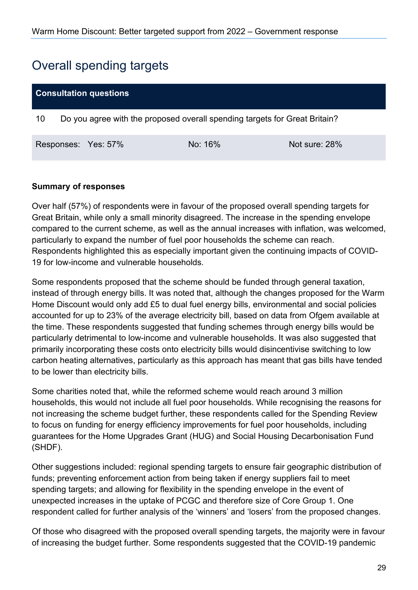## <span id="page-28-0"></span>Overall spending targets

| <b>Consultation questions</b>                                                    |  |                     |         |               |
|----------------------------------------------------------------------------------|--|---------------------|---------|---------------|
| Do you agree with the proposed overall spending targets for Great Britain?<br>10 |  |                     |         |               |
|                                                                                  |  | Responses: Yes: 57% | No: 16% | Not sure: 28% |

#### **Summary of responses**

Over half (57%) of respondents were in favour of the proposed overall spending targets for Great Britain, while only a small minority disagreed. The increase in the spending envelope compared to the current scheme, as well as the annual increases with inflation, was welcomed, particularly to expand the number of fuel poor households the scheme can reach. Respondents highlighted this as especially important given the continuing impacts of COVID-19 for low-income and vulnerable households.

Some respondents proposed that the scheme should be funded through general taxation, instead of through energy bills. It was noted that, although the changes proposed for the Warm Home Discount would only add £5 to dual fuel energy bills, environmental and social policies accounted for up to 23% of the average electricity bill, based on data from Ofgem available at the time. These respondents suggested that funding schemes through energy bills would be particularly detrimental to low-income and vulnerable households. It was also suggested that primarily incorporating these costs onto electricity bills would disincentivise switching to low carbon heating alternatives, particularly as this approach has meant that gas bills have tended to be lower than electricity bills.

Some charities noted that, while the reformed scheme would reach around 3 million households, this would not include all fuel poor households. While recognising the reasons for not increasing the scheme budget further, these respondents called for the Spending Review to focus on funding for energy efficiency improvements for fuel poor households, including guarantees for the Home Upgrades Grant (HUG) and Social Housing Decarbonisation Fund (SHDF).

Other suggestions included: regional spending targets to ensure fair geographic distribution of funds; preventing enforcement action from being taken if energy suppliers fail to meet spending targets; and allowing for flexibility in the spending envelope in the event of unexpected increases in the uptake of PCGC and therefore size of Core Group 1. One respondent called for further analysis of the 'winners' and 'losers' from the proposed changes.

Of those who disagreed with the proposed overall spending targets, the majority were in favour of increasing the budget further. Some respondents suggested that the COVID-19 pandemic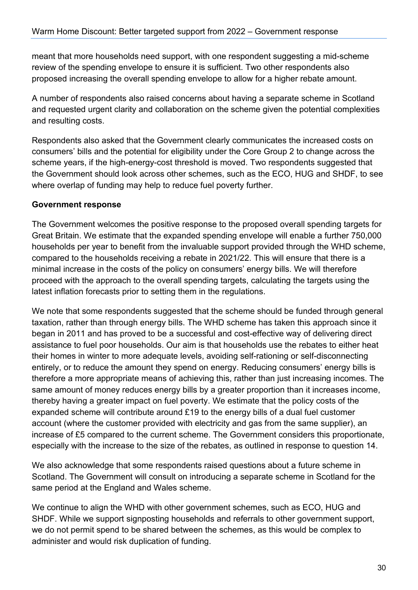meant that more households need support, with one respondent suggesting a mid-scheme review of the spending envelope to ensure it is sufficient. Two other respondents also proposed increasing the overall spending envelope to allow for a higher rebate amount.

A number of respondents also raised concerns about having a separate scheme in Scotland and requested urgent clarity and collaboration on the scheme given the potential complexities and resulting costs.

Respondents also asked that the Government clearly communicates the increased costs on consumers' bills and the potential for eligibility under the Core Group 2 to change across the scheme years, if the high-energy-cost threshold is moved. Two respondents suggested that the Government should look across other schemes, such as the ECO, HUG and SHDF, to see where overlap of funding may help to reduce fuel poverty further.

#### **Government response**

The Government welcomes the positive response to the proposed overall spending targets for Great Britain. We estimate that the expanded spending envelope will enable a further 750,000 households per year to benefit from the invaluable support provided through the WHD scheme, compared to the households receiving a rebate in 2021/22. This will ensure that there is a minimal increase in the costs of the policy on consumers' energy bills. We will therefore proceed with the approach to the overall spending targets, calculating the targets using the latest inflation forecasts prior to setting them in the regulations.

We note that some respondents suggested that the scheme should be funded through general taxation, rather than through energy bills. The WHD scheme has taken this approach since it began in 2011 and has proved to be a successful and cost-effective way of delivering direct assistance to fuel poor households. Our aim is that households use the rebates to either heat their homes in winter to more adequate levels, avoiding self-rationing or self-disconnecting entirely, or to reduce the amount they spend on energy. Reducing consumers' energy bills is therefore a more appropriate means of achieving this, rather than just increasing incomes. The same amount of money reduces energy bills by a greater proportion than it increases income, thereby having a greater impact on fuel poverty. We estimate that the policy costs of the expanded scheme will contribute around £19 to the energy bills of a dual fuel customer account (where the customer provided with electricity and gas from the same supplier), an increase of £5 compared to the current scheme. The Government considers this proportionate, especially with the increase to the size of the rebates, as outlined in response to question 14.

We also acknowledge that some respondents raised questions about a future scheme in Scotland. The Government will consult on introducing a separate scheme in Scotland for the same period at the England and Wales scheme.

We continue to align the WHD with other government schemes, such as ECO, HUG and SHDF. While we support signposting households and referrals to other government support, we do not permit spend to be shared between the schemes, as this would be complex to administer and would risk duplication of funding.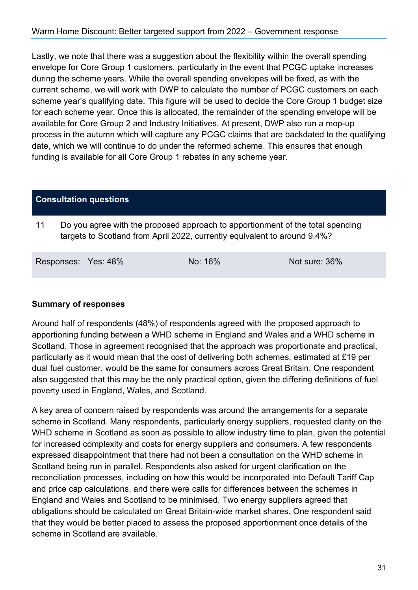Lastly, we note that there was a suggestion about the flexibility within the overall spending envelope for Core Group 1 customers, particularly in the event that PCGC uptake increases during the scheme years. While the overall spending envelopes will be fixed, as with the current scheme, we will work with DWP to calculate the number of PCGC customers on each scheme year's qualifying date. This figure will be used to decide the Core Group 1 budget size for each scheme year. Once this is allocated, the remainder of the spending envelope will be available for Core Group 2 and Industry Initiatives. At present, DWP also run a mop-up process in the autumn which will capture any PCGC claims that are backdated to the qualifying date, which we will continue to do under the reformed scheme. This ensures that enough funding is available for all Core Group 1 rebates in any scheme year.

#### **Consultation questions**

11 Do you agree with the proposed approach to apportionment of the total spending targets to Scotland from April 2022, currently equivalent to around 9.4%?

| Responses: Yes: 48% | No: 16% | Not sure: 36% |
|---------------------|---------|---------------|
|                     |         |               |

#### **Summary of responses**

Around half of respondents (48%) of respondents agreed with the proposed approach to apportioning funding between a WHD scheme in England and Wales and a WHD scheme in Scotland. Those in agreement recognised that the approach was proportionate and practical, particularly as it would mean that the cost of delivering both schemes, estimated at £19 per dual fuel customer, would be the same for consumers across Great Britain. One respondent also suggested that this may be the only practical option, given the differing definitions of fuel poverty used in England, Wales, and Scotland.

A key area of concern raised by respondents was around the arrangements for a separate scheme in Scotland. Many respondents, particularly energy suppliers, requested clarity on the WHD scheme in Scotland as soon as possible to allow industry time to plan, given the potential for increased complexity and costs for energy suppliers and consumers. A few respondents expressed disappointment that there had not been a consultation on the WHD scheme in Scotland being run in parallel. Respondents also asked for urgent clarification on the reconciliation processes, including on how this would be incorporated into Default Tariff Cap and price cap calculations, and there were calls for differences between the schemes in England and Wales and Scotland to be minimised. Two energy suppliers agreed that obligations should be calculated on Great Britain-wide market shares. One respondent said that they would be better placed to assess the proposed apportionment once details of the scheme in Scotland are available.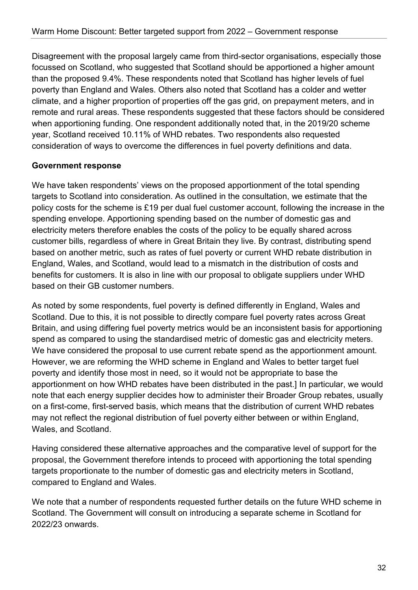Disagreement with the proposal largely came from third-sector organisations, especially those focussed on Scotland, who suggested that Scotland should be apportioned a higher amount than the proposed 9.4%. These respondents noted that Scotland has higher levels of fuel poverty than England and Wales. Others also noted that Scotland has a colder and wetter climate, and a higher proportion of properties off the gas grid, on prepayment meters, and in remote and rural areas. These respondents suggested that these factors should be considered when apportioning funding. One respondent additionally noted that, in the 2019/20 scheme year, Scotland received 10.11% of WHD rebates. Two respondents also requested consideration of ways to overcome the differences in fuel poverty definitions and data.

#### **Government response**

We have taken respondents' views on the proposed apportionment of the total spending targets to Scotland into consideration. As outlined in the consultation, we estimate that the policy costs for the scheme is £19 per dual fuel customer account, following the increase in the spending envelope. Apportioning spending based on the number of domestic gas and electricity meters therefore enables the costs of the policy to be equally shared across customer bills, regardless of where in Great Britain they live. By contrast, distributing spend based on another metric, such as rates of fuel poverty or current WHD rebate distribution in England, Wales, and Scotland, would lead to a mismatch in the distribution of costs and benefits for customers. It is also in line with our proposal to obligate suppliers under WHD based on their GB customer numbers.

As noted by some respondents, fuel poverty is defined differently in England, Wales and Scotland. Due to this, it is not possible to directly compare fuel poverty rates across Great Britain, and using differing fuel poverty metrics would be an inconsistent basis for apportioning spend as compared to using the standardised metric of domestic gas and electricity meters. We have considered the proposal to use current rebate spend as the apportionment amount. However, we are reforming the WHD scheme in England and Wales to better target fuel poverty and identify those most in need, so it would not be appropriate to base the apportionment on how WHD rebates have been distributed in the past.] In particular, we would note that each energy supplier decides how to administer their Broader Group rebates, usually on a first-come, first-served basis, which means that the distribution of current WHD rebates may not reflect the regional distribution of fuel poverty either between or within England, Wales, and Scotland.

Having considered these alternative approaches and the comparative level of support for the proposal, the Government therefore intends to proceed with apportioning the total spending targets proportionate to the number of domestic gas and electricity meters in Scotland, compared to England and Wales.

We note that a number of respondents requested further details on the future WHD scheme in Scotland. The Government will consult on introducing a separate scheme in Scotland for 2022/23 onwards.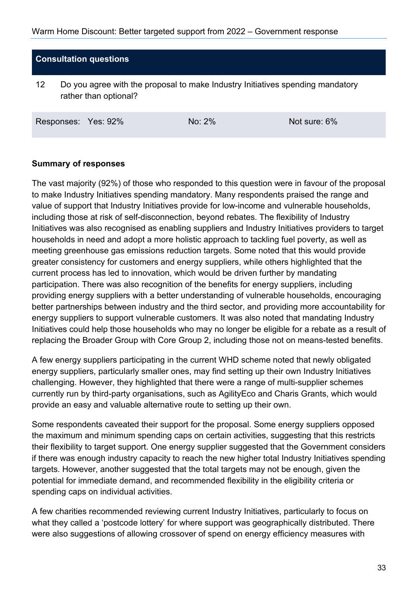#### **Consultation questions**

12 Do you agree with the proposal to make Industry Initiatives spending mandatory rather than optional?

Responses: Yes: 92% No: 2% No: 2% Not sure: 6%

#### **Summary of responses**

The vast majority (92%) of those who responded to this question were in favour of the proposal to make Industry Initiatives spending mandatory. Many respondents praised the range and value of support that Industry Initiatives provide for low-income and vulnerable households, including those at risk of self-disconnection, beyond rebates. The flexibility of Industry Initiatives was also recognised as enabling suppliers and Industry Initiatives providers to target households in need and adopt a more holistic approach to tackling fuel poverty, as well as meeting greenhouse gas emissions reduction targets. Some noted that this would provide greater consistency for customers and energy suppliers, while others highlighted that the current process has led to innovation, which would be driven further by mandating participation. There was also recognition of the benefits for energy suppliers, including providing energy suppliers with a better understanding of vulnerable households, encouraging better partnerships between industry and the third sector, and providing more accountability for energy suppliers to support vulnerable customers. It was also noted that mandating Industry Initiatives could help those households who may no longer be eligible for a rebate as a result of replacing the Broader Group with Core Group 2, including those not on means-tested benefits.

A few energy suppliers participating in the current WHD scheme noted that newly obligated energy suppliers, particularly smaller ones, may find setting up their own Industry Initiatives challenging. However, they highlighted that there were a range of multi-supplier schemes currently run by third-party organisations, such as AgilityEco and Charis Grants, which would provide an easy and valuable alternative route to setting up their own.

Some respondents caveated their support for the proposal. Some energy suppliers opposed the maximum and minimum spending caps on certain activities, suggesting that this restricts their flexibility to target support. One energy supplier suggested that the Government considers if there was enough industry capacity to reach the new higher total Industry Initiatives spending targets. However, another suggested that the total targets may not be enough, given the potential for immediate demand, and recommended flexibility in the eligibility criteria or spending caps on individual activities.

A few charities recommended reviewing current Industry Initiatives, particularly to focus on what they called a 'postcode lottery' for where support was geographically distributed. There were also suggestions of allowing crossover of spend on energy efficiency measures with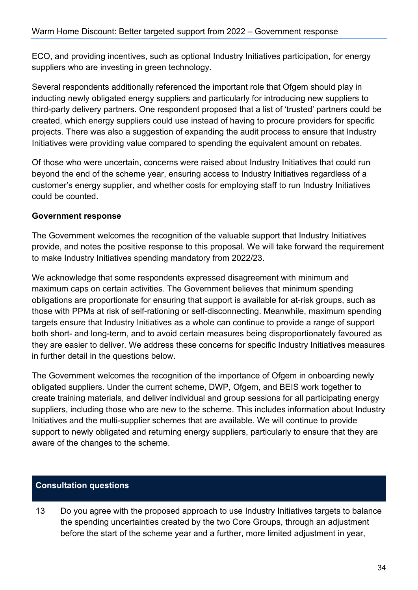ECO, and providing incentives, such as optional Industry Initiatives participation, for energy suppliers who are investing in green technology.

Several respondents additionally referenced the important role that Ofgem should play in inducting newly obligated energy suppliers and particularly for introducing new suppliers to third-party delivery partners. One respondent proposed that a list of 'trusted' partners could be created, which energy suppliers could use instead of having to procure providers for specific projects. There was also a suggestion of expanding the audit process to ensure that Industry Initiatives were providing value compared to spending the equivalent amount on rebates.

Of those who were uncertain, concerns were raised about Industry Initiatives that could run beyond the end of the scheme year, ensuring access to Industry Initiatives regardless of a customer's energy supplier, and whether costs for employing staff to run Industry Initiatives could be counted.

#### **Government response**

The Government welcomes the recognition of the valuable support that Industry Initiatives provide, and notes the positive response to this proposal. We will take forward the requirement to make Industry Initiatives spending mandatory from 2022/23.

We acknowledge that some respondents expressed disagreement with minimum and maximum caps on certain activities. The Government believes that minimum spending obligations are proportionate for ensuring that support is available for at-risk groups, such as those with PPMs at risk of self-rationing or self-disconnecting. Meanwhile, maximum spending targets ensure that Industry Initiatives as a whole can continue to provide a range of support both short- and long-term, and to avoid certain measures being disproportionately favoured as they are easier to deliver. We address these concerns for specific Industry Initiatives measures in further detail in the questions below.

The Government welcomes the recognition of the importance of Ofgem in onboarding newly obligated suppliers. Under the current scheme, DWP, Ofgem, and BEIS work together to create training materials, and deliver individual and group sessions for all participating energy suppliers, including those who are new to the scheme. This includes information about Industry Initiatives and the multi-supplier schemes that are available. We will continue to provide support to newly obligated and returning energy suppliers, particularly to ensure that they are aware of the changes to the scheme.

#### **Consultation questions**

13 Do you agree with the proposed approach to use Industry Initiatives targets to balance the spending uncertainties created by the two Core Groups, through an adjustment before the start of the scheme year and a further, more limited adjustment in year,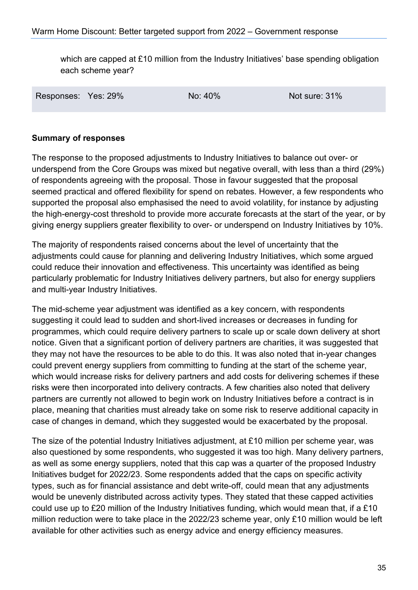which are capped at £10 million from the Industry Initiatives' base spending obligation each scheme year?

Responses: Yes: 29% No: 40% No: 40% Not sure: 31%

#### **Summary of responses**

The response to the proposed adjustments to Industry Initiatives to balance out over- or underspend from the Core Groups was mixed but negative overall, with less than a third (29%) of respondents agreeing with the proposal. Those in favour suggested that the proposal seemed practical and offered flexibility for spend on rebates. However, a few respondents who supported the proposal also emphasised the need to avoid volatility, for instance by adjusting the high-energy-cost threshold to provide more accurate forecasts at the start of the year, or by giving energy suppliers greater flexibility to over- or underspend on Industry Initiatives by 10%.

The majority of respondents raised concerns about the level of uncertainty that the adjustments could cause for planning and delivering Industry Initiatives, which some argued could reduce their innovation and effectiveness. This uncertainty was identified as being particularly problematic for Industry Initiatives delivery partners, but also for energy suppliers and multi-year Industry Initiatives.

The mid-scheme year adjustment was identified as a key concern, with respondents suggesting it could lead to sudden and short-lived increases or decreases in funding for programmes, which could require delivery partners to scale up or scale down delivery at short notice. Given that a significant portion of delivery partners are charities, it was suggested that they may not have the resources to be able to do this. It was also noted that in-year changes could prevent energy suppliers from committing to funding at the start of the scheme year, which would increase risks for delivery partners and add costs for delivering schemes if these risks were then incorporated into delivery contracts. A few charities also noted that delivery partners are currently not allowed to begin work on Industry Initiatives before a contract is in place, meaning that charities must already take on some risk to reserve additional capacity in case of changes in demand, which they suggested would be exacerbated by the proposal.

The size of the potential Industry Initiatives adjustment, at £10 million per scheme year, was also questioned by some respondents, who suggested it was too high. Many delivery partners, as well as some energy suppliers, noted that this cap was a quarter of the proposed Industry Initiatives budget for 2022/23. Some respondents added that the caps on specific activity types, such as for financial assistance and debt write-off, could mean that any adjustments would be unevenly distributed across activity types. They stated that these capped activities could use up to £20 million of the Industry Initiatives funding, which would mean that, if a £10 million reduction were to take place in the 2022/23 scheme year, only £10 million would be left available for other activities such as energy advice and energy efficiency measures.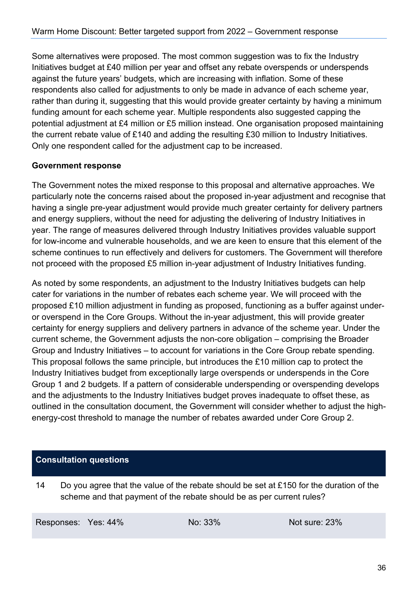Some alternatives were proposed. The most common suggestion was to fix the Industry Initiatives budget at £40 million per year and offset any rebate overspends or underspends against the future years' budgets, which are increasing with inflation. Some of these respondents also called for adjustments to only be made in advance of each scheme year, rather than during it, suggesting that this would provide greater certainty by having a minimum funding amount for each scheme year. Multiple respondents also suggested capping the potential adjustment at £4 million or £5 million instead. One organisation proposed maintaining the current rebate value of £140 and adding the resulting £30 million to Industry Initiatives. Only one respondent called for the adjustment cap to be increased.

#### **Government response**

The Government notes the mixed response to this proposal and alternative approaches. We particularly note the concerns raised about the proposed in-year adjustment and recognise that having a single pre-year adjustment would provide much greater certainty for delivery partners and energy suppliers, without the need for adjusting the delivering of Industry Initiatives in year. The range of measures delivered through Industry Initiatives provides valuable support for low-income and vulnerable households, and we are keen to ensure that this element of the scheme continues to run effectively and delivers for customers. The Government will therefore not proceed with the proposed £5 million in-year adjustment of Industry Initiatives funding.

As noted by some respondents, an adjustment to the Industry Initiatives budgets can help cater for variations in the number of rebates each scheme year. We will proceed with the proposed £10 million adjustment in funding as proposed, functioning as a buffer against underor overspend in the Core Groups. Without the in-year adjustment, this will provide greater certainty for energy suppliers and delivery partners in advance of the scheme year. Under the current scheme, the Government adjusts the non-core obligation – comprising the Broader Group and Industry Initiatives – to account for variations in the Core Group rebate spending. This proposal follows the same principle, but introduces the £10 million cap to protect the Industry Initiatives budget from exceptionally large overspends or underspends in the Core Group 1 and 2 budgets. If a pattern of considerable underspending or overspending develops and the adjustments to the Industry Initiatives budget proves inadequate to offset these, as outlined in the consultation document, the Government will consider whether to adjust the highenergy-cost threshold to manage the number of rebates awarded under Core Group 2.

#### **Consultation questions**

14 Do you agree that the value of the rebate should be set at £150 for the duration of the scheme and that payment of the rebate should be as per current rules?

Responses: Yes: 44% No: 33% Not sure: 23%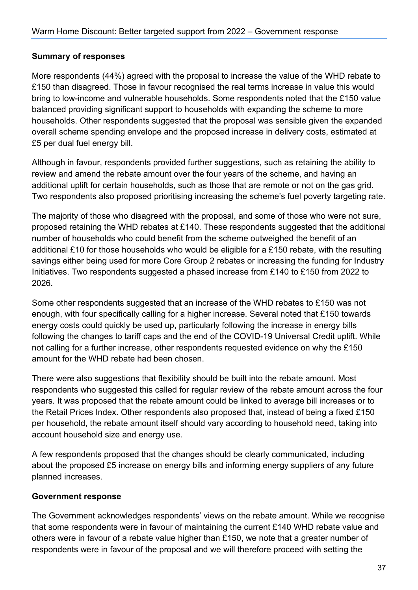#### **Summary of responses**

More respondents (44%) agreed with the proposal to increase the value of the WHD rebate to £150 than disagreed. Those in favour recognised the real terms increase in value this would bring to low-income and vulnerable households. Some respondents noted that the £150 value balanced providing significant support to households with expanding the scheme to more households. Other respondents suggested that the proposal was sensible given the expanded overall scheme spending envelope and the proposed increase in delivery costs, estimated at £5 per dual fuel energy bill.

Although in favour, respondents provided further suggestions, such as retaining the ability to review and amend the rebate amount over the four years of the scheme, and having an additional uplift for certain households, such as those that are remote or not on the gas grid. Two respondents also proposed prioritising increasing the scheme's fuel poverty targeting rate.

The majority of those who disagreed with the proposal, and some of those who were not sure, proposed retaining the WHD rebates at £140. These respondents suggested that the additional number of households who could benefit from the scheme outweighed the benefit of an additional £10 for those households who would be eligible for a £150 rebate, with the resulting savings either being used for more Core Group 2 rebates or increasing the funding for Industry Initiatives. Two respondents suggested a phased increase from £140 to £150 from 2022 to 2026.

Some other respondents suggested that an increase of the WHD rebates to £150 was not enough, with four specifically calling for a higher increase. Several noted that £150 towards energy costs could quickly be used up, particularly following the increase in energy bills following the changes to tariff caps and the end of the COVID-19 Universal Credit uplift. While not calling for a further increase, other respondents requested evidence on why the £150 amount for the WHD rebate had been chosen.

There were also suggestions that flexibility should be built into the rebate amount. Most respondents who suggested this called for regular review of the rebate amount across the four years. It was proposed that the rebate amount could be linked to average bill increases or to the Retail Prices Index. Other respondents also proposed that, instead of being a fixed £150 per household, the rebate amount itself should vary according to household need, taking into account household size and energy use.

A few respondents proposed that the changes should be clearly communicated, including about the proposed £5 increase on energy bills and informing energy suppliers of any future planned increases.

#### **Government response**

The Government acknowledges respondents' views on the rebate amount. While we recognise that some respondents were in favour of maintaining the current £140 WHD rebate value and others were in favour of a rebate value higher than £150, we note that a greater number of respondents were in favour of the proposal and we will therefore proceed with setting the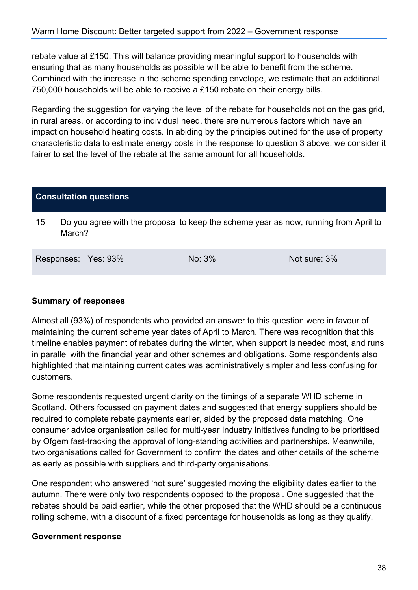rebate value at £150. This will balance providing meaningful support to households with ensuring that as many households as possible will be able to benefit from the scheme. Combined with the increase in the scheme spending envelope, we estimate that an additional 750,000 households will be able to receive a £150 rebate on their energy bills.

Regarding the suggestion for varying the level of the rebate for households not on the gas grid, in rural areas, or according to individual need, there are numerous factors which have an impact on household heating costs. In abiding by the principles outlined for the use of property characteristic data to estimate energy costs in the response to question 3 above, we consider it fairer to set the level of the rebate at the same amount for all households.

#### **Consultation questions**

15 Do you agree with the proposal to keep the scheme year as now, running from April to March?

| Responses: Yes: 93% |  | $No: 3\%$ | Not sure: 3% |
|---------------------|--|-----------|--------------|
|---------------------|--|-----------|--------------|

#### **Summary of responses**

Almost all (93%) of respondents who provided an answer to this question were in favour of maintaining the current scheme year dates of April to March. There was recognition that this timeline enables payment of rebates during the winter, when support is needed most, and runs in parallel with the financial year and other schemes and obligations. Some respondents also highlighted that maintaining current dates was administratively simpler and less confusing for customers.

Some respondents requested urgent clarity on the timings of a separate WHD scheme in Scotland. Others focussed on payment dates and suggested that energy suppliers should be required to complete rebate payments earlier, aided by the proposed data matching. One consumer advice organisation called for multi-year Industry Initiatives funding to be prioritised by Ofgem fast-tracking the approval of long-standing activities and partnerships. Meanwhile, two organisations called for Government to confirm the dates and other details of the scheme as early as possible with suppliers and third-party organisations.

One respondent who answered 'not sure' suggested moving the eligibility dates earlier to the autumn. There were only two respondents opposed to the proposal. One suggested that the rebates should be paid earlier, while the other proposed that the WHD should be a continuous rolling scheme, with a discount of a fixed percentage for households as long as they qualify.

#### **Government response**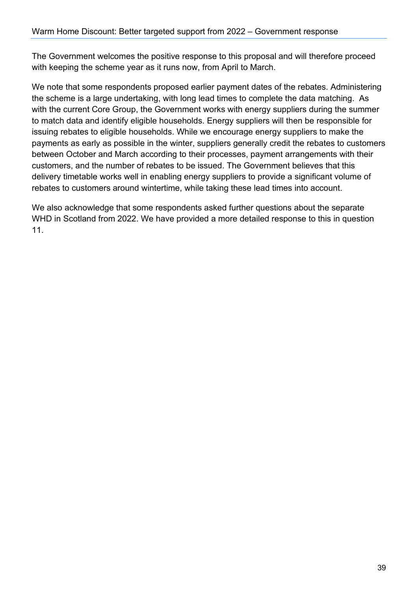The Government welcomes the positive response to this proposal and will therefore proceed with keeping the scheme year as it runs now, from April to March.

We note that some respondents proposed earlier payment dates of the rebates. Administering the scheme is a large undertaking, with long lead times to complete the data matching. As with the current Core Group, the Government works with energy suppliers during the summer to match data and identify eligible households. Energy suppliers will then be responsible for issuing rebates to eligible households. While we encourage energy suppliers to make the payments as early as possible in the winter, suppliers generally credit the rebates to customers between October and March according to their processes, payment arrangements with their customers, and the number of rebates to be issued. The Government believes that this delivery timetable works well in enabling energy suppliers to provide a significant volume of rebates to customers around wintertime, while taking these lead times into account.

We also acknowledge that some respondents asked further questions about the separate WHD in Scotland from 2022. We have provided a more detailed response to this in question 11.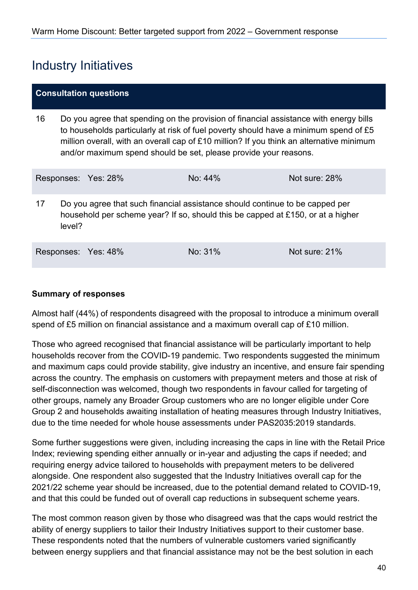## <span id="page-39-0"></span>Industry Initiatives

#### **Consultation questions**

16 Do you agree that spending on the provision of financial assistance with energy bills to households particularly at risk of fuel poverty should have a minimum spend of £5 million overall, with an overall cap of £10 million? If you think an alternative minimum and/or maximum spend should be set, please provide your reasons.

|    |        | Responses: Yes: 28% | No: $44\%$                                                                                                                                                      | Not sure: 28%   |
|----|--------|---------------------|-----------------------------------------------------------------------------------------------------------------------------------------------------------------|-----------------|
| 17 | level? |                     | Do you agree that such financial assistance should continue to be capped per<br>household per scheme year? If so, should this be capped at £150, or at a higher |                 |
|    |        | Responses: Yes: 48% | $No: 31\%$                                                                                                                                                      | Not sure: $21%$ |

#### **Summary of responses**

Almost half (44%) of respondents disagreed with the proposal to introduce a minimum overall spend of £5 million on financial assistance and a maximum overall cap of £10 million.

Those who agreed recognised that financial assistance will be particularly important to help households recover from the COVID-19 pandemic. Two respondents suggested the minimum and maximum caps could provide stability, give industry an incentive, and ensure fair spending across the country. The emphasis on customers with prepayment meters and those at risk of self-disconnection was welcomed, though two respondents in favour called for targeting of other groups, namely any Broader Group customers who are no longer eligible under Core Group 2 and households awaiting installation of heating measures through Industry Initiatives, due to the time needed for whole house assessments under PAS2035:2019 standards.

Some further suggestions were given, including increasing the caps in line with the Retail Price Index; reviewing spending either annually or in-year and adjusting the caps if needed; and requiring energy advice tailored to households with prepayment meters to be delivered alongside. One respondent also suggested that the Industry Initiatives overall cap for the 2021/22 scheme year should be increased, due to the potential demand related to COVID-19, and that this could be funded out of overall cap reductions in subsequent scheme years.

The most common reason given by those who disagreed was that the caps would restrict the ability of energy suppliers to tailor their Industry Initiatives support to their customer base. These respondents noted that the numbers of vulnerable customers varied significantly between energy suppliers and that financial assistance may not be the best solution in each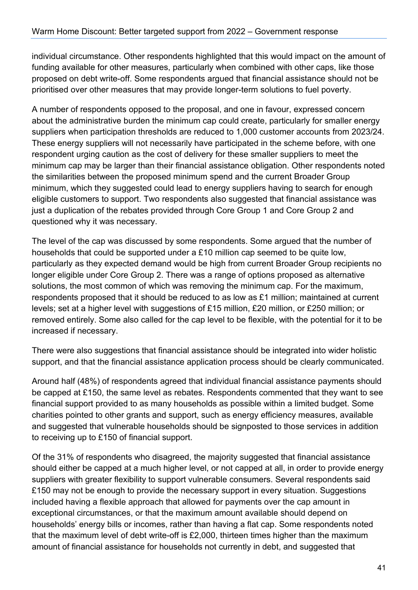individual circumstance. Other respondents highlighted that this would impact on the amount of funding available for other measures, particularly when combined with other caps, like those proposed on debt write-off. Some respondents argued that financial assistance should not be prioritised over other measures that may provide longer-term solutions to fuel poverty.

A number of respondents opposed to the proposal, and one in favour, expressed concern about the administrative burden the minimum cap could create, particularly for smaller energy suppliers when participation thresholds are reduced to 1,000 customer accounts from 2023/24. These energy suppliers will not necessarily have participated in the scheme before, with one respondent urging caution as the cost of delivery for these smaller suppliers to meet the minimum cap may be larger than their financial assistance obligation. Other respondents noted the similarities between the proposed minimum spend and the current Broader Group minimum, which they suggested could lead to energy suppliers having to search for enough eligible customers to support. Two respondents also suggested that financial assistance was just a duplication of the rebates provided through Core Group 1 and Core Group 2 and questioned why it was necessary.

The level of the cap was discussed by some respondents. Some argued that the number of households that could be supported under a £10 million cap seemed to be quite low, particularly as they expected demand would be high from current Broader Group recipients no longer eligible under Core Group 2. There was a range of options proposed as alternative solutions, the most common of which was removing the minimum cap. For the maximum, respondents proposed that it should be reduced to as low as £1 million; maintained at current levels; set at a higher level with suggestions of £15 million, £20 million, or £250 million; or removed entirely. Some also called for the cap level to be flexible, with the potential for it to be increased if necessary.

There were also suggestions that financial assistance should be integrated into wider holistic support, and that the financial assistance application process should be clearly communicated.

Around half (48%) of respondents agreed that individual financial assistance payments should be capped at £150, the same level as rebates. Respondents commented that they want to see financial support provided to as many households as possible within a limited budget. Some charities pointed to other grants and support, such as energy efficiency measures, available and suggested that vulnerable households should be signposted to those services in addition to receiving up to £150 of financial support.

Of the 31% of respondents who disagreed, the majority suggested that financial assistance should either be capped at a much higher level, or not capped at all, in order to provide energy suppliers with greater flexibility to support vulnerable consumers. Several respondents said £150 may not be enough to provide the necessary support in every situation. Suggestions included having a flexible approach that allowed for payments over the cap amount in exceptional circumstances, or that the maximum amount available should depend on households' energy bills or incomes, rather than having a flat cap. Some respondents noted that the maximum level of debt write-off is £2,000, thirteen times higher than the maximum amount of financial assistance for households not currently in debt, and suggested that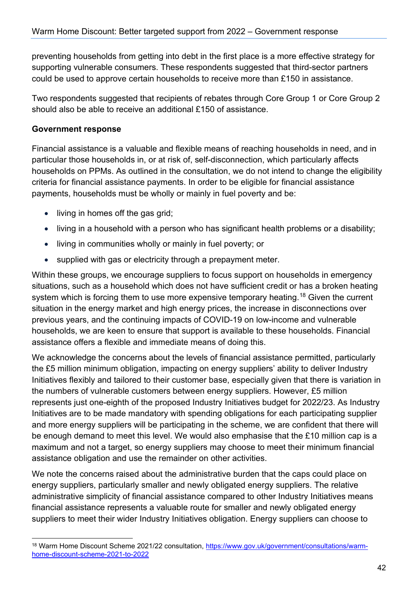preventing households from getting into debt in the first place is a more effective strategy for supporting vulnerable consumers. These respondents suggested that third-sector partners could be used to approve certain households to receive more than £150 in assistance.

Two respondents suggested that recipients of rebates through Core Group 1 or Core Group 2 should also be able to receive an additional £150 of assistance.

#### **Government response**

Financial assistance is a valuable and flexible means of reaching households in need, and in particular those households in, or at risk of, self-disconnection, which particularly affects households on PPMs. As outlined in the consultation, we do not intend to change the eligibility criteria for financial assistance payments. In order to be eligible for financial assistance payments, households must be wholly or mainly in fuel poverty and be:

- living in homes off the gas grid;
- living in a household with a person who has significant health problems or a disability;
- living in communities wholly or mainly in fuel poverty; or
- supplied with gas or electricity through a prepayment meter.

Within these groups, we encourage suppliers to focus support on households in emergency situations, such as a household which does not have sufficient credit or has a broken heating system which is forcing them to use more expensive temporary heating.<sup>[18](#page-41-0)</sup> Given the current situation in the energy market and high energy prices, the increase in disconnections over previous years, and the continuing impacts of COVID-19 on low-income and vulnerable households, we are keen to ensure that support is available to these households. Financial assistance offers a flexible and immediate means of doing this.

We acknowledge the concerns about the levels of financial assistance permitted, particularly the £5 million minimum obligation, impacting on energy suppliers' ability to deliver Industry Initiatives flexibly and tailored to their customer base, especially given that there is variation in the numbers of vulnerable customers between energy suppliers. However, £5 million represents just one-eighth of the proposed Industry Initiatives budget for 2022/23. As Industry Initiatives are to be made mandatory with spending obligations for each participating supplier and more energy suppliers will be participating in the scheme, we are confident that there will be enough demand to meet this level. We would also emphasise that the £10 million cap is a maximum and not a target, so energy suppliers may choose to meet their minimum financial assistance obligation and use the remainder on other activities.

We note the concerns raised about the administrative burden that the caps could place on energy suppliers, particularly smaller and newly obligated energy suppliers. The relative administrative simplicity of financial assistance compared to other Industry Initiatives means financial assistance represents a valuable route for smaller and newly obligated energy suppliers to meet their wider Industry Initiatives obligation. Energy suppliers can choose to

<span id="page-41-0"></span><sup>18</sup> Warm Home Discount Scheme 2021/22 consultation, [https://www.gov.uk/government/consultations/warm](https://www.gov.uk/government/consultations/warm-home-discount-scheme-2021-to-2022)[home-discount-scheme-2021-to-2022](https://www.gov.uk/government/consultations/warm-home-discount-scheme-2021-to-2022)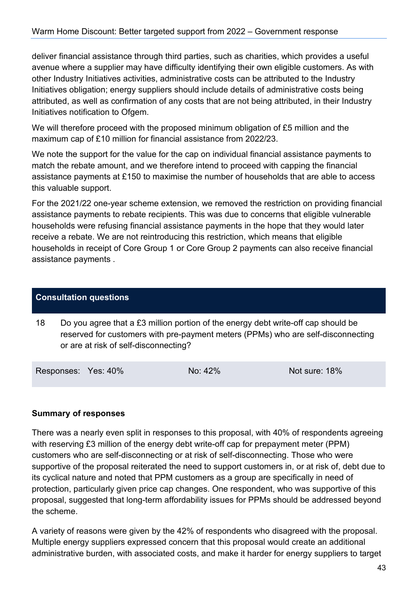deliver financial assistance through third parties, such as charities, which provides a useful avenue where a supplier may have difficulty identifying their own eligible customers. As with other Industry Initiatives activities, administrative costs can be attributed to the Industry Initiatives obligation; energy suppliers should include details of administrative costs being attributed, as well as confirmation of any costs that are not being attributed, in their Industry Initiatives notification to Ofgem.

We will therefore proceed with the proposed minimum obligation of £5 million and the maximum cap of £10 million for financial assistance from 2022/23.

We note the support for the value for the cap on individual financial assistance payments to match the rebate amount, and we therefore intend to proceed with capping the financial assistance payments at £150 to maximise the number of households that are able to access this valuable support.

For the 2021/22 one-year scheme extension, we removed the restriction on providing financial assistance payments to rebate recipients. This was due to concerns that eligible vulnerable households were refusing financial assistance payments in the hope that they would later receive a rebate. We are not reintroducing this restriction, which means that eligible households in receipt of Core Group 1 or Core Group 2 payments can also receive financial assistance payments .

#### **Consultation questions**

18 Do you agree that a £3 million portion of the energy debt write-off cap should be reserved for customers with pre-payment meters (PPMs) who are self-disconnecting or are at risk of self-disconnecting?

Responses: Yes: 40% No: 42% Not sure: 18%

#### **Summary of responses**

There was a nearly even split in responses to this proposal, with 40% of respondents agreeing with reserving £3 million of the energy debt write-off cap for prepayment meter (PPM) customers who are self-disconnecting or at risk of self-disconnecting. Those who were supportive of the proposal reiterated the need to support customers in, or at risk of, debt due to its cyclical nature and noted that PPM customers as a group are specifically in need of protection, particularly given price cap changes. One respondent, who was supportive of this proposal, suggested that long-term affordability issues for PPMs should be addressed beyond the scheme.

A variety of reasons were given by the 42% of respondents who disagreed with the proposal. Multiple energy suppliers expressed concern that this proposal would create an additional administrative burden, with associated costs, and make it harder for energy suppliers to target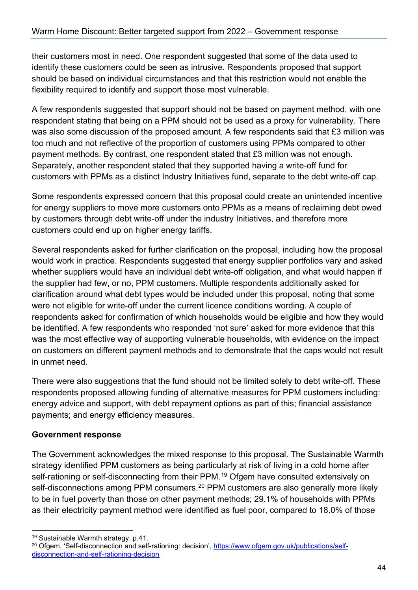their customers most in need. One respondent suggested that some of the data used to identify these customers could be seen as intrusive. Respondents proposed that support should be based on individual circumstances and that this restriction would not enable the flexibility required to identify and support those most vulnerable.

A few respondents suggested that support should not be based on payment method, with one respondent stating that being on a PPM should not be used as a proxy for vulnerability. There was also some discussion of the proposed amount. A few respondents said that £3 million was too much and not reflective of the proportion of customers using PPMs compared to other payment methods. By contrast, one respondent stated that £3 million was not enough. Separately, another respondent stated that they supported having a write-off fund for customers with PPMs as a distinct Industry Initiatives fund, separate to the debt write-off cap.

Some respondents expressed concern that this proposal could create an unintended incentive for energy suppliers to move more customers onto PPMs as a means of reclaiming debt owed by customers through debt write-off under the industry Initiatives, and therefore more customers could end up on higher energy tariffs.

Several respondents asked for further clarification on the proposal, including how the proposal would work in practice. Respondents suggested that energy supplier portfolios vary and asked whether suppliers would have an individual debt write-off obligation, and what would happen if the supplier had few, or no, PPM customers. Multiple respondents additionally asked for clarification around what debt types would be included under this proposal, noting that some were not eligible for write-off under the current licence conditions wording. A couple of respondents asked for confirmation of which households would be eligible and how they would be identified. A few respondents who responded 'not sure' asked for more evidence that this was the most effective way of supporting vulnerable households, with evidence on the impact on customers on different payment methods and to demonstrate that the caps would not result in unmet need.

There were also suggestions that the fund should not be limited solely to debt write-off. These respondents proposed allowing funding of alternative measures for PPM customers including: energy advice and support, with debt repayment options as part of this; financial assistance payments; and energy efficiency measures.

#### **Government response**

The Government acknowledges the mixed response to this proposal. The Sustainable Warmth strategy identified PPM customers as being particularly at risk of living in a cold home after self-rationing or self-disconnecting from their PPM. [19](#page-43-0) Ofgem have consulted extensively on self-disconnections among PPM consumers.<sup>[20](#page-43-1)</sup> PPM customers are also generally more likely to be in fuel poverty than those on other payment methods; 29.1% of households with PPMs as their electricity payment method were identified as fuel poor, compared to 18.0% of those

<span id="page-43-0"></span><sup>19</sup> Sustainable Warmth strategy, p.41.

<span id="page-43-1"></span><sup>&</sup>lt;sup>20</sup> Ofgem, 'Self-disconnection and self-rationing: decision', [https://www.ofgem.gov.uk/publications/self](https://www.ofgem.gov.uk/publications/self-disconnection-and-self-rationing-decision)[disconnection-and-self-rationing-decision](https://www.ofgem.gov.uk/publications/self-disconnection-and-self-rationing-decision)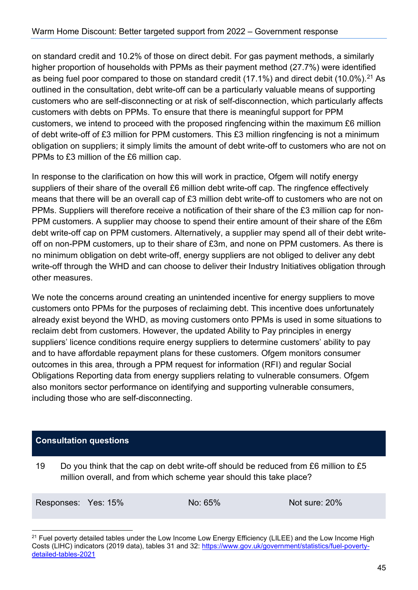on standard credit and 10.2% of those on direct debit. For gas payment methods, a similarly higher proportion of households with PPMs as their payment method (27.7%) were identified as being fuel poor compared to those on standard credit (17.1%) and direct debit (10.0%).<sup>21</sup> As outlined in the consultation, debt write-off can be a particularly valuable means of supporting customers who are self-disconnecting or at risk of self-disconnection, which particularly affects customers with debts on PPMs. To ensure that there is meaningful support for PPM customers, we intend to proceed with the proposed ringfencing within the maximum £6 million of debt write-off of £3 million for PPM customers. This £3 million ringfencing is not a minimum obligation on suppliers; it simply limits the amount of debt write-off to customers who are not on PPMs to £3 million of the £6 million cap.

In response to the clarification on how this will work in practice, Ofgem will notify energy suppliers of their share of the overall £6 million debt write-off cap. The ringfence effectively means that there will be an overall cap of £3 million debt write-off to customers who are not on PPMs. Suppliers will therefore receive a notification of their share of the £3 million cap for non-PPM customers. A supplier may choose to spend their entire amount of their share of the £6m debt write-off cap on PPM customers. Alternatively, a supplier may spend all of their debt writeoff on non-PPM customers, up to their share of £3m, and none on PPM customers. As there is no minimum obligation on debt write-off, energy suppliers are not obliged to deliver any debt write-off through the WHD and can choose to deliver their Industry Initiatives obligation through other measures.

We note the concerns around creating an unintended incentive for energy suppliers to move customers onto PPMs for the purposes of reclaiming debt. This incentive does unfortunately already exist beyond the WHD, as moving customers onto PPMs is used in some situations to reclaim debt from customers. However, the updated Ability to Pay principles in energy suppliers' licence conditions require energy suppliers to determine customers' ability to pay and to have affordable repayment plans for these customers. Ofgem monitors consumer outcomes in this area, through a PPM request for information (RFI) and regular Social Obligations Reporting data from energy suppliers relating to vulnerable consumers. Ofgem also monitors sector performance on identifying and supporting vulnerable consumers, including those who are self-disconnecting.

#### **Consultation questions**

19 Do you think that the cap on debt write-off should be reduced from £6 million to £5 million overall, and from which scheme year should this take place?

Responses: Yes: 15% No: 65% Not sure: 20%

<span id="page-44-0"></span><sup>&</sup>lt;sup>21</sup> Fuel poverty detailed tables under the Low Income Low Energy Efficiency (LILEE) and the Low Income High Costs (LIHC) indicators (2019 data), tables 31 and 32: [https://www.gov.uk/government/statistics/fuel-poverty](https://www.gov.uk/government/statistics/fuel-poverty-detailed-tables-2021)[detailed-tables-2021](https://www.gov.uk/government/statistics/fuel-poverty-detailed-tables-2021)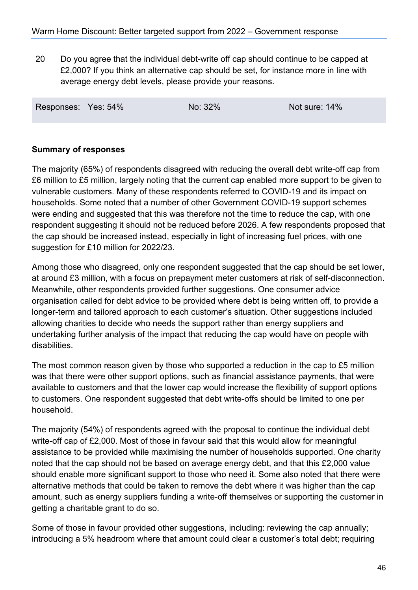20 Do you agree that the individual debt-write off cap should continue to be capped at £2,000? If you think an alternative cap should be set, for instance more in line with average energy debt levels, please provide your reasons.

| Responses: Yes: 54% |  | No: 32% | Not sure: 14% |
|---------------------|--|---------|---------------|
|---------------------|--|---------|---------------|

#### **Summary of responses**

The majority (65%) of respondents disagreed with reducing the overall debt write-off cap from £6 million to £5 million, largely noting that the current cap enabled more support to be given to vulnerable customers. Many of these respondents referred to COVID-19 and its impact on households. Some noted that a number of other Government COVID-19 support schemes were ending and suggested that this was therefore not the time to reduce the cap, with one respondent suggesting it should not be reduced before 2026. A few respondents proposed that the cap should be increased instead, especially in light of increasing fuel prices, with one suggestion for £10 million for 2022/23.

Among those who disagreed, only one respondent suggested that the cap should be set lower, at around £3 million, with a focus on prepayment meter customers at risk of self-disconnection. Meanwhile, other respondents provided further suggestions. One consumer advice organisation called for debt advice to be provided where debt is being written off, to provide a longer-term and tailored approach to each customer's situation. Other suggestions included allowing charities to decide who needs the support rather than energy suppliers and undertaking further analysis of the impact that reducing the cap would have on people with disabilities.

The most common reason given by those who supported a reduction in the cap to £5 million was that there were other support options, such as financial assistance payments, that were available to customers and that the lower cap would increase the flexibility of support options to customers. One respondent suggested that debt write-offs should be limited to one per household.

The majority (54%) of respondents agreed with the proposal to continue the individual debt write-off cap of £2,000. Most of those in favour said that this would allow for meaningful assistance to be provided while maximising the number of households supported. One charity noted that the cap should not be based on average energy debt, and that this £2,000 value should enable more significant support to those who need it. Some also noted that there were alternative methods that could be taken to remove the debt where it was higher than the cap amount, such as energy suppliers funding a write-off themselves or supporting the customer in getting a charitable grant to do so.

Some of those in favour provided other suggestions, including: reviewing the cap annually; introducing a 5% headroom where that amount could clear a customer's total debt; requiring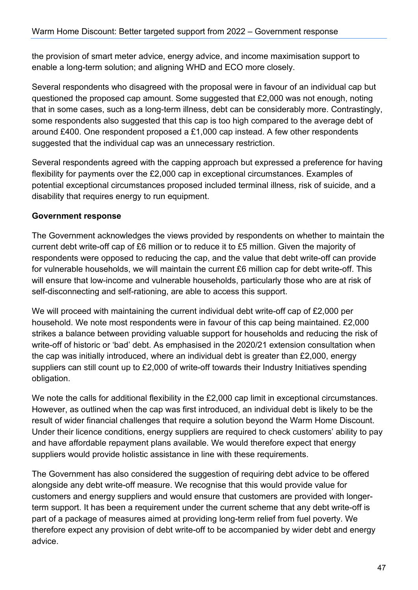the provision of smart meter advice, energy advice, and income maximisation support to enable a long-term solution; and aligning WHD and ECO more closely.

Several respondents who disagreed with the proposal were in favour of an individual cap but questioned the proposed cap amount. Some suggested that £2,000 was not enough, noting that in some cases, such as a long-term illness, debt can be considerably more. Contrastingly, some respondents also suggested that this cap is too high compared to the average debt of around £400. One respondent proposed a £1,000 cap instead. A few other respondents suggested that the individual cap was an unnecessary restriction.

Several respondents agreed with the capping approach but expressed a preference for having flexibility for payments over the £2,000 cap in exceptional circumstances. Examples of potential exceptional circumstances proposed included terminal illness, risk of suicide, and a disability that requires energy to run equipment.

#### **Government response**

The Government acknowledges the views provided by respondents on whether to maintain the current debt write-off cap of £6 million or to reduce it to £5 million. Given the majority of respondents were opposed to reducing the cap, and the value that debt write-off can provide for vulnerable households, we will maintain the current £6 million cap for debt write-off. This will ensure that low-income and vulnerable households, particularly those who are at risk of self-disconnecting and self-rationing, are able to access this support.

We will proceed with maintaining the current individual debt write-off cap of £2,000 per household. We note most respondents were in favour of this cap being maintained. £2,000 strikes a balance between providing valuable support for households and reducing the risk of write-off of historic or 'bad' debt. As emphasised in the 2020/21 extension consultation when the cap was initially introduced, where an individual debt is greater than £2,000, energy suppliers can still count up to £2,000 of write-off towards their Industry Initiatives spending obligation.

We note the calls for additional flexibility in the £2,000 cap limit in exceptional circumstances. However, as outlined when the cap was first introduced, an individual debt is likely to be the result of wider financial challenges that require a solution beyond the Warm Home Discount. Under their licence conditions, energy suppliers are required to check customers' ability to pay and have affordable repayment plans available. We would therefore expect that energy suppliers would provide holistic assistance in line with these requirements.

The Government has also considered the suggestion of requiring debt advice to be offered alongside any debt write-off measure. We recognise that this would provide value for customers and energy suppliers and would ensure that customers are provided with longerterm support. It has been a requirement under the current scheme that any debt write-off is part of a package of measures aimed at providing long-term relief from fuel poverty. We therefore expect any provision of debt write-off to be accompanied by wider debt and energy advice.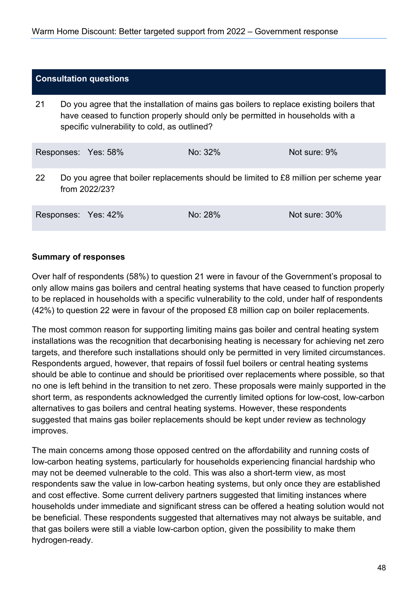#### **Consultation questions**

21 Do you agree that the installation of mains gas boilers to replace existing boilers that have ceased to function properly should only be permitted in households with a specific vulnerability to cold, as outlined?

|     | Responses: Yes: 58% | No: $32\%$                                                                            | Not sure: 9% |
|-----|---------------------|---------------------------------------------------------------------------------------|--------------|
| -22 | from 2022/23?       | Do you agree that boiler replacements should be limited to £8 million per scheme year |              |

Responses: Yes: 42% No: 28% Not sure: 30%

**Summary of responses**

Over half of respondents (58%) to question 21 were in favour of the Government's proposal to only allow mains gas boilers and central heating systems that have ceased to function properly to be replaced in households with a specific vulnerability to the cold, under half of respondents (42%) to question 22 were in favour of the proposed £8 million cap on boiler replacements.

The most common reason for supporting limiting mains gas boiler and central heating system installations was the recognition that decarbonising heating is necessary for achieving net zero targets, and therefore such installations should only be permitted in very limited circumstances. Respondents argued, however, that repairs of fossil fuel boilers or central heating systems should be able to continue and should be prioritised over replacements where possible, so that no one is left behind in the transition to net zero. These proposals were mainly supported in the short term, as respondents acknowledged the currently limited options for low-cost, low-carbon alternatives to gas boilers and central heating systems. However, these respondents suggested that mains gas boiler replacements should be kept under review as technology improves.

The main concerns among those opposed centred on the affordability and running costs of low-carbon heating systems, particularly for households experiencing financial hardship who may not be deemed vulnerable to the cold. This was also a short-term view, as most respondents saw the value in low-carbon heating systems, but only once they are established and cost effective. Some current delivery partners suggested that limiting instances where households under immediate and significant stress can be offered a heating solution would not be beneficial. These respondents suggested that alternatives may not always be suitable, and that gas boilers were still a viable low-carbon option, given the possibility to make them hydrogen-ready.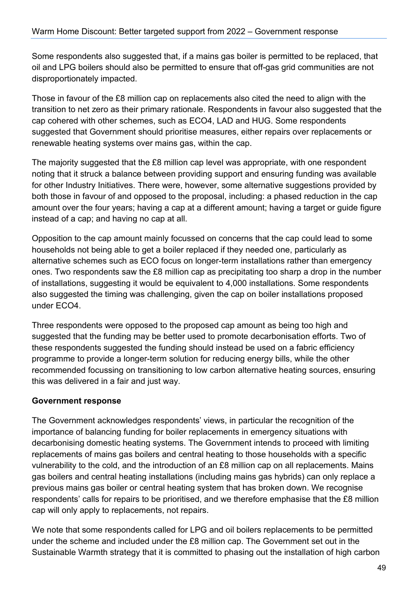Some respondents also suggested that, if a mains gas boiler is permitted to be replaced, that oil and LPG boilers should also be permitted to ensure that off-gas grid communities are not disproportionately impacted.

Those in favour of the £8 million cap on replacements also cited the need to align with the transition to net zero as their primary rationale. Respondents in favour also suggested that the cap cohered with other schemes, such as ECO4, LAD and HUG. Some respondents suggested that Government should prioritise measures, either repairs over replacements or renewable heating systems over mains gas, within the cap.

The majority suggested that the £8 million cap level was appropriate, with one respondent noting that it struck a balance between providing support and ensuring funding was available for other Industry Initiatives. There were, however, some alternative suggestions provided by both those in favour of and opposed to the proposal, including: a phased reduction in the cap amount over the four years; having a cap at a different amount; having a target or guide figure instead of a cap; and having no cap at all.

Opposition to the cap amount mainly focussed on concerns that the cap could lead to some households not being able to get a boiler replaced if they needed one, particularly as alternative schemes such as ECO focus on longer-term installations rather than emergency ones. Two respondents saw the £8 million cap as precipitating too sharp a drop in the number of installations, suggesting it would be equivalent to 4,000 installations. Some respondents also suggested the timing was challenging, given the cap on boiler installations proposed under ECO4.

Three respondents were opposed to the proposed cap amount as being too high and suggested that the funding may be better used to promote decarbonisation efforts. Two of these respondents suggested the funding should instead be used on a fabric efficiency programme to provide a longer-term solution for reducing energy bills, while the other recommended focussing on transitioning to low carbon alternative heating sources, ensuring this was delivered in a fair and just way.

#### **Government response**

The Government acknowledges respondents' views, in particular the recognition of the importance of balancing funding for boiler replacements in emergency situations with decarbonising domestic heating systems. The Government intends to proceed with limiting replacements of mains gas boilers and central heating to those households with a specific vulnerability to the cold, and the introduction of an £8 million cap on all replacements. Mains gas boilers and central heating installations (including mains gas hybrids) can only replace a previous mains gas boiler or central heating system that has broken down. We recognise respondents' calls for repairs to be prioritised, and we therefore emphasise that the £8 million cap will only apply to replacements, not repairs.

We note that some respondents called for LPG and oil boilers replacements to be permitted under the scheme and included under the £8 million cap. The Government set out in the Sustainable Warmth strategy that it is committed to phasing out the installation of high carbon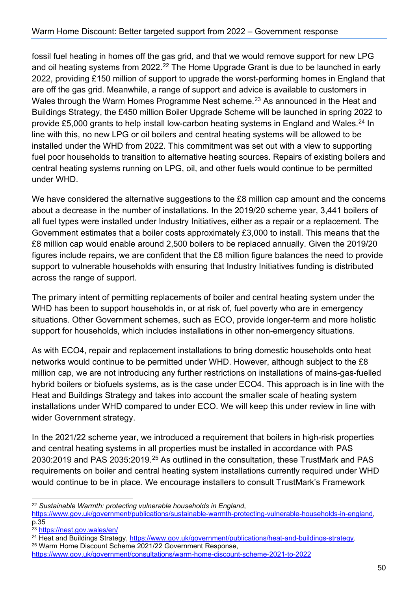fossil fuel heating in homes off the gas grid, and that we would remove support for new LPG and oil heating systems from 2022.<sup>22</sup> The Home Upgrade Grant is due to be launched in early 2022, providing £150 million of support to upgrade the worst-performing homes in England that are off the gas grid. Meanwhile, a range of support and advice is available to customers in Wales through the Warm Homes Programme Nest scheme.<sup>[23](#page-49-1)</sup> As announced in the Heat and Buildings Strategy, the £450 million Boiler Upgrade Scheme will be launched in spring 2022 to provide £5,000 grants to help install low-carbon heating systems in England and Wales.<sup>[24](#page-49-2)</sup> In line with this, no new LPG or oil boilers and central heating systems will be allowed to be installed under the WHD from 2022. This commitment was set out with a view to supporting fuel poor households to transition to alternative heating sources. Repairs of existing boilers and central heating systems running on LPG, oil, and other fuels would continue to be permitted under WHD.

We have considered the alternative suggestions to the £8 million cap amount and the concerns about a decrease in the number of installations. In the 2019/20 scheme year, 3,441 boilers of all fuel types were installed under Industry Initiatives, either as a repair or a replacement. The Government estimates that a boiler costs approximately £3,000 to install. This means that the £8 million cap would enable around 2,500 boilers to be replaced annually. Given the 2019/20 figures include repairs, we are confident that the £8 million figure balances the need to provide support to vulnerable households with ensuring that Industry Initiatives funding is distributed across the range of support.

The primary intent of permitting replacements of boiler and central heating system under the WHD has been to support households in, or at risk of, fuel poverty who are in emergency situations. Other Government schemes, such as ECO, provide longer-term and more holistic support for households, which includes installations in other non-emergency situations.

As with ECO4, repair and replacement installations to bring domestic households onto heat networks would continue to be permitted under WHD. However, although subject to the £8 million cap, we are not introducing any further restrictions on installations of mains-gas-fuelled hybrid boilers or biofuels systems, as is the case under ECO4. This approach is in line with the Heat and Buildings Strategy and takes into account the smaller scale of heating system installations under WHD compared to under ECO. We will keep this under review in line with wider Government strategy.

In the 2021/22 scheme year, we introduced a requirement that boilers in high-risk properties and central heating systems in all properties must be installed in accordance with PAS 2030:2019 and PAS 2035:2019.<sup>[25](#page-49-3)</sup> As outlined in the consultation, these TrustMark and PAS requirements on boiler and central heating system installations currently required under WHD would continue to be in place. We encourage installers to consult TrustMark's Framework

[https://www.gov.uk/government/publications/sustainable-warmth-protecting-vulnerable-households-in-england,](https://www.gov.uk/government/publications/sustainable-warmth-protecting-vulnerable-households-in-england) p.35

<span id="page-49-0"></span><sup>22</sup> *Sustainable Warmth: protecting vulnerable households in England*,

<span id="page-49-2"></span><span id="page-49-1"></span><sup>&</sup>lt;sup>23</sup> https://nest.gov.wales/en/<br><sup>24</sup> Heat and Buildings Strategy, <u>https://www.gov.uk/government/publications/heat-and-buildings-strategy</u>.<br><sup>25</sup> Warm Home Discount Scheme 2021/22 Government Response,

<span id="page-49-3"></span><https://www.gov.uk/government/consultations/warm-home-discount-scheme-2021-to-2022>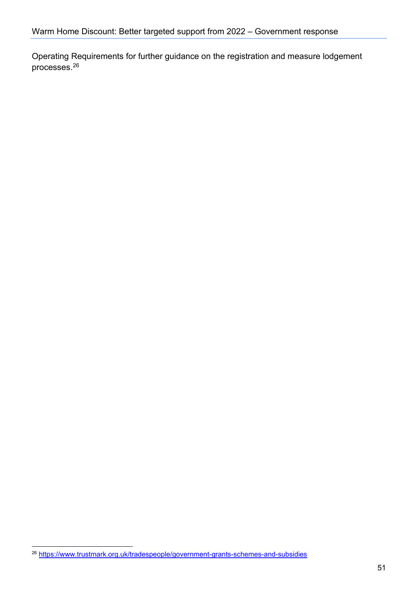Operating Requirements for further guidance on the registration and measure lodgement processes. [26](#page-50-0) 

<span id="page-50-0"></span><sup>26</sup> <https://www.trustmark.org.uk/tradespeople/government-grants-schemes-and-subsidies>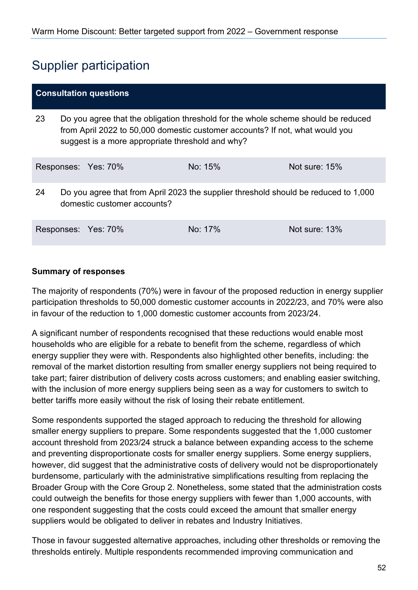## <span id="page-51-0"></span>Supplier participation

| <b>Consultation questions</b> |                                                                                                                                                                                                                       |                     |         |               |
|-------------------------------|-----------------------------------------------------------------------------------------------------------------------------------------------------------------------------------------------------------------------|---------------------|---------|---------------|
| 23                            | Do you agree that the obligation threshold for the whole scheme should be reduced<br>from April 2022 to 50,000 domestic customer accounts? If not, what would you<br>suggest is a more appropriate threshold and why? |                     |         |               |
|                               |                                                                                                                                                                                                                       | Responses: Yes: 70% | No: 15% | Not sure: 15% |
| 24                            | Do you agree that from April 2023 the supplier threshold should be reduced to 1,000<br>domestic customer accounts?                                                                                                    |                     |         |               |
|                               |                                                                                                                                                                                                                       | Responses: Yes: 70% | No: 17% | Not sure: 13% |

#### **Summary of responses**

The majority of respondents (70%) were in favour of the proposed reduction in energy supplier participation thresholds to 50,000 domestic customer accounts in 2022/23, and 70% were also in favour of the reduction to 1,000 domestic customer accounts from 2023/24.

A significant number of respondents recognised that these reductions would enable most households who are eligible for a rebate to benefit from the scheme, regardless of which energy supplier they were with. Respondents also highlighted other benefits, including: the removal of the market distortion resulting from smaller energy suppliers not being required to take part; fairer distribution of delivery costs across customers; and enabling easier switching, with the inclusion of more energy suppliers being seen as a way for customers to switch to better tariffs more easily without the risk of losing their rebate entitlement.

Some respondents supported the staged approach to reducing the threshold for allowing smaller energy suppliers to prepare. Some respondents suggested that the 1,000 customer account threshold from 2023/24 struck a balance between expanding access to the scheme and preventing disproportionate costs for smaller energy suppliers. Some energy suppliers, however, did suggest that the administrative costs of delivery would not be disproportionately burdensome, particularly with the administrative simplifications resulting from replacing the Broader Group with the Core Group 2. Nonetheless, some stated that the administration costs could outweigh the benefits for those energy suppliers with fewer than 1,000 accounts, with one respondent suggesting that the costs could exceed the amount that smaller energy suppliers would be obligated to deliver in rebates and Industry Initiatives.

Those in favour suggested alternative approaches, including other thresholds or removing the thresholds entirely. Multiple respondents recommended improving communication and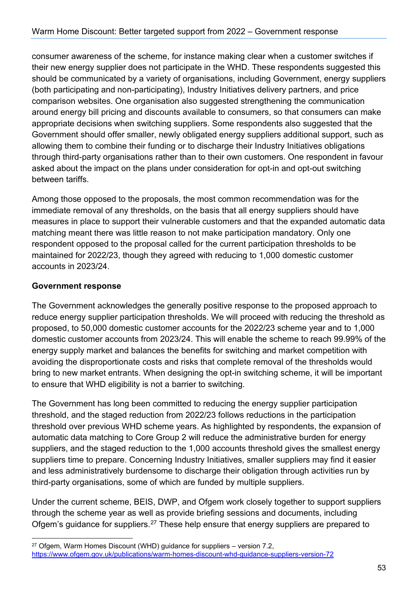consumer awareness of the scheme, for instance making clear when a customer switches if their new energy supplier does not participate in the WHD. These respondents suggested this should be communicated by a variety of organisations, including Government, energy suppliers (both participating and non-participating), Industry Initiatives delivery partners, and price comparison websites. One organisation also suggested strengthening the communication around energy bill pricing and discounts available to consumers, so that consumers can make appropriate decisions when switching suppliers. Some respondents also suggested that the Government should offer smaller, newly obligated energy suppliers additional support, such as allowing them to combine their funding or to discharge their Industry Initiatives obligations through third-party organisations rather than to their own customers. One respondent in favour asked about the impact on the plans under consideration for opt-in and opt-out switching between tariffs.

Among those opposed to the proposals, the most common recommendation was for the immediate removal of any thresholds, on the basis that all energy suppliers should have measures in place to support their vulnerable customers and that the expanded automatic data matching meant there was little reason to not make participation mandatory. Only one respondent opposed to the proposal called for the current participation thresholds to be maintained for 2022/23, though they agreed with reducing to 1,000 domestic customer accounts in 2023/24.

#### **Government response**

The Government acknowledges the generally positive response to the proposed approach to reduce energy supplier participation thresholds. We will proceed with reducing the threshold as proposed, to 50,000 domestic customer accounts for the 2022/23 scheme year and to 1,000 domestic customer accounts from 2023/24. This will enable the scheme to reach 99.99% of the energy supply market and balances the benefits for switching and market competition with avoiding the disproportionate costs and risks that complete removal of the thresholds would bring to new market entrants. When designing the opt-in switching scheme, it will be important to ensure that WHD eligibility is not a barrier to switching.

The Government has long been committed to reducing the energy supplier participation threshold, and the staged reduction from 2022/23 follows reductions in the participation threshold over previous WHD scheme years. As highlighted by respondents, the expansion of automatic data matching to Core Group 2 will reduce the administrative burden for energy suppliers, and the staged reduction to the 1,000 accounts threshold gives the smallest energy suppliers time to prepare. Concerning Industry Initiatives, smaller suppliers may find it easier and less administratively burdensome to discharge their obligation through activities run by third-party organisations, some of which are funded by multiple suppliers.

Under the current scheme, BEIS, DWP, and Ofgem work closely together to support suppliers through the scheme year as well as provide briefing sessions and documents, including Ofgem's guidance for suppliers.<sup>[27](#page-52-0)</sup> These help ensure that energy suppliers are prepared to

<span id="page-52-0"></span> $27$  Ofgem, Warm Homes Discount (WHD) guidance for suppliers – version 7.2, <https://www.ofgem.gov.uk/publications/warm-homes-discount-whd-guidance-suppliers-version-72>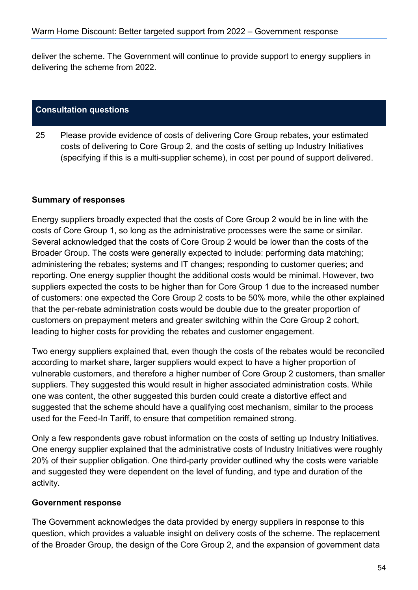deliver the scheme. The Government will continue to provide support to energy suppliers in delivering the scheme from 2022.

#### **Consultation questions**

25 Please provide evidence of costs of delivering Core Group rebates, your estimated costs of delivering to Core Group 2, and the costs of setting up Industry Initiatives (specifying if this is a multi-supplier scheme), in cost per pound of support delivered.

#### **Summary of responses**

Energy suppliers broadly expected that the costs of Core Group 2 would be in line with the costs of Core Group 1, so long as the administrative processes were the same or similar. Several acknowledged that the costs of Core Group 2 would be lower than the costs of the Broader Group. The costs were generally expected to include: performing data matching; administering the rebates; systems and IT changes; responding to customer queries; and reporting. One energy supplier thought the additional costs would be minimal. However, two suppliers expected the costs to be higher than for Core Group 1 due to the increased number of customers: one expected the Core Group 2 costs to be 50% more, while the other explained that the per-rebate administration costs would be double due to the greater proportion of customers on prepayment meters and greater switching within the Core Group 2 cohort, leading to higher costs for providing the rebates and customer engagement.

Two energy suppliers explained that, even though the costs of the rebates would be reconciled according to market share, larger suppliers would expect to have a higher proportion of vulnerable customers, and therefore a higher number of Core Group 2 customers, than smaller suppliers. They suggested this would result in higher associated administration costs. While one was content, the other suggested this burden could create a distortive effect and suggested that the scheme should have a qualifying cost mechanism, similar to the process used for the Feed-In Tariff, to ensure that competition remained strong.

Only a few respondents gave robust information on the costs of setting up Industry Initiatives. One energy supplier explained that the administrative costs of Industry Initiatives were roughly 20% of their supplier obligation. One third-party provider outlined why the costs were variable and suggested they were dependent on the level of funding, and type and duration of the activity.

#### **Government response**

The Government acknowledges the data provided by energy suppliers in response to this question, which provides a valuable insight on delivery costs of the scheme. The replacement of the Broader Group, the design of the Core Group 2, and the expansion of government data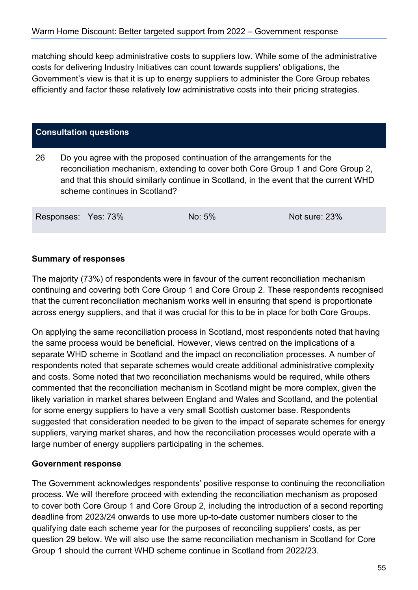matching should keep administrative costs to suppliers low. While some of the administrative costs for delivering Industry Initiatives can count towards suppliers' obligations, the Government's view is that it is up to energy suppliers to administer the Core Group rebates efficiently and factor these relatively low administrative costs into their pricing strategies.

#### **Consultation questions**

26 Do you agree with the proposed continuation of the arrangements for the reconciliation mechanism, extending to cover both Core Group 1 and Core Group 2, and that this should similarly continue in Scotland, in the event that the current WHD scheme continues in Scotland?

Responses: Yes: 73% No: 5% No: 5% Not sure: 23%

#### **Summary of responses**

The majority (73%) of respondents were in favour of the current reconciliation mechanism continuing and covering both Core Group 1 and Core Group 2. These respondents recognised that the current reconciliation mechanism works well in ensuring that spend is proportionate across energy suppliers, and that it was crucial for this to be in place for both Core Groups.

On applying the same reconciliation process in Scotland, most respondents noted that having the same process would be beneficial. However, views centred on the implications of a separate WHD scheme in Scotland and the impact on reconciliation processes. A number of respondents noted that separate schemes would create additional administrative complexity and costs. Some noted that two reconciliation mechanisms would be required, while others commented that the reconciliation mechanism in Scotland might be more complex, given the likely variation in market shares between England and Wales and Scotland, and the potential for some energy suppliers to have a very small Scottish customer base. Respondents suggested that consideration needed to be given to the impact of separate schemes for energy suppliers, varying market shares, and how the reconciliation processes would operate with a large number of energy suppliers participating in the schemes.

#### **Government response**

The Government acknowledges respondents' positive response to continuing the reconciliation process. We will therefore proceed with extending the reconciliation mechanism as proposed to cover both Core Group 1 and Core Group 2, including the introduction of a second reporting deadline from 2023/24 onwards to use more up-to-date customer numbers closer to the qualifying date each scheme year for the purposes of reconciling suppliers' costs, as per question 29 below. We will also use the same reconciliation mechanism in Scotland for Core Group 1 should the current WHD scheme continue in Scotland from 2022/23.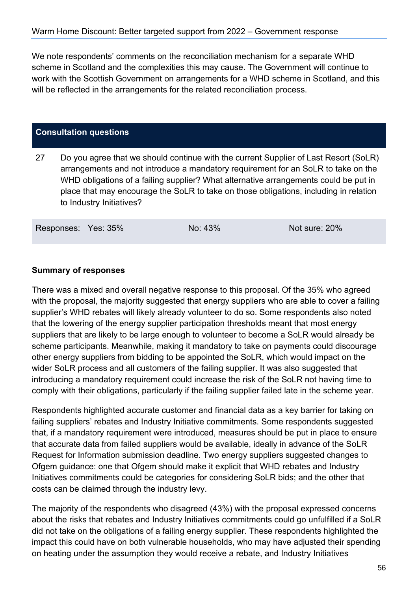We note respondents' comments on the reconciliation mechanism for a separate WHD scheme in Scotland and the complexities this may cause. The Government will continue to work with the Scottish Government on arrangements for a WHD scheme in Scotland, and this will be reflected in the arrangements for the related reconciliation process.

#### **Consultation questions**

27 Do you agree that we should continue with the current Supplier of Last Resort (SoLR) arrangements and not introduce a mandatory requirement for an SoLR to take on the WHD obligations of a failing supplier? What alternative arrangements could be put in place that may encourage the SoLR to take on those obligations, including in relation to Industry Initiatives?

Responses: Yes: 35% No: 43% Not sure: 20%

#### **Summary of responses**

There was a mixed and overall negative response to this proposal. Of the 35% who agreed with the proposal, the majority suggested that energy suppliers who are able to cover a failing supplier's WHD rebates will likely already volunteer to do so. Some respondents also noted that the lowering of the energy supplier participation thresholds meant that most energy suppliers that are likely to be large enough to volunteer to become a SoLR would already be scheme participants. Meanwhile, making it mandatory to take on payments could discourage other energy suppliers from bidding to be appointed the SoLR, which would impact on the wider SoLR process and all customers of the failing supplier. It was also suggested that introducing a mandatory requirement could increase the risk of the SoLR not having time to comply with their obligations, particularly if the failing supplier failed late in the scheme year.

Respondents highlighted accurate customer and financial data as a key barrier for taking on failing suppliers' rebates and Industry Initiative commitments. Some respondents suggested that, if a mandatory requirement were introduced, measures should be put in place to ensure that accurate data from failed suppliers would be available, ideally in advance of the SoLR Request for Information submission deadline. Two energy suppliers suggested changes to Ofgem guidance: one that Ofgem should make it explicit that WHD rebates and Industry Initiatives commitments could be categories for considering SoLR bids; and the other that costs can be claimed through the industry levy.

The majority of the respondents who disagreed (43%) with the proposal expressed concerns about the risks that rebates and Industry Initiatives commitments could go unfulfilled if a SoLR did not take on the obligations of a failing energy supplier. These respondents highlighted the impact this could have on both vulnerable households, who may have adjusted their spending on heating under the assumption they would receive a rebate, and Industry Initiatives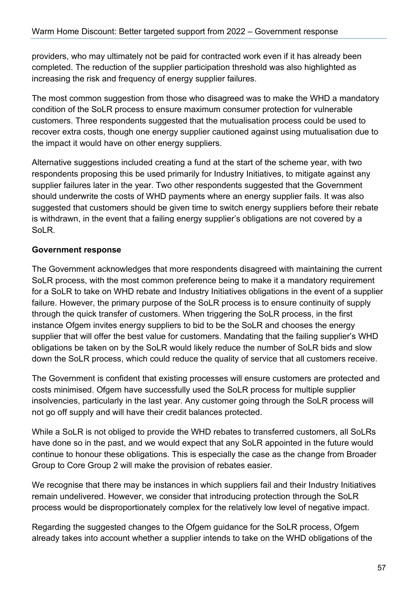providers, who may ultimately not be paid for contracted work even if it has already been completed. The reduction of the supplier participation threshold was also highlighted as increasing the risk and frequency of energy supplier failures.

The most common suggestion from those who disagreed was to make the WHD a mandatory condition of the SoLR process to ensure maximum consumer protection for vulnerable customers. Three respondents suggested that the mutualisation process could be used to recover extra costs, though one energy supplier cautioned against using mutualisation due to the impact it would have on other energy suppliers.

Alternative suggestions included creating a fund at the start of the scheme year, with two respondents proposing this be used primarily for Industry Initiatives, to mitigate against any supplier failures later in the year. Two other respondents suggested that the Government should underwrite the costs of WHD payments where an energy supplier fails. It was also suggested that customers should be given time to switch energy suppliers before their rebate is withdrawn, in the event that a failing energy supplier's obligations are not covered by a SoLR.

#### **Government response**

The Government acknowledges that more respondents disagreed with maintaining the current SoLR process, with the most common preference being to make it a mandatory requirement for a SoLR to take on WHD rebate and Industry Initiatives obligations in the event of a supplier failure. However, the primary purpose of the SoLR process is to ensure continuity of supply through the quick transfer of customers. When triggering the SoLR process, in the first instance Ofgem invites energy suppliers to bid to be the SoLR and chooses the energy supplier that will offer the best value for customers. Mandating that the failing supplier's WHD obligations be taken on by the SoLR would likely reduce the number of SoLR bids and slow down the SoLR process, which could reduce the quality of service that all customers receive.

The Government is confident that existing processes will ensure customers are protected and costs minimised. Ofgem have successfully used the SoLR process for multiple supplier insolvencies, particularly in the last year. Any customer going through the SoLR process will not go off supply and will have their credit balances protected.

While a SoLR is not obliged to provide the WHD rebates to transferred customers, all SoLRs have done so in the past, and we would expect that any SoLR appointed in the future would continue to honour these obligations. This is especially the case as the change from Broader Group to Core Group 2 will make the provision of rebates easier.

We recognise that there may be instances in which suppliers fail and their Industry Initiatives remain undelivered. However, we consider that introducing protection through the SoLR process would be disproportionately complex for the relatively low level of negative impact.

Regarding the suggested changes to the Ofgem guidance for the SoLR process, Ofgem already takes into account whether a supplier intends to take on the WHD obligations of the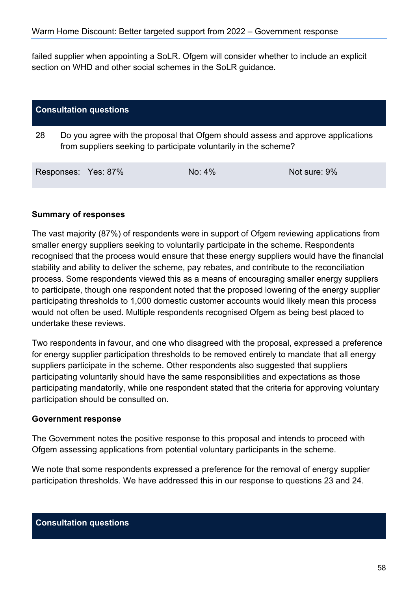failed supplier when appointing a SoLR. Ofgem will consider whether to include an explicit section on WHD and other social schemes in the SoLR guidance.

| <b>Consultation questions</b> |                                                                                                                                                      |                     |           |              |
|-------------------------------|------------------------------------------------------------------------------------------------------------------------------------------------------|---------------------|-----------|--------------|
| 28                            | Do you agree with the proposal that Ofgem should assess and approve applications<br>from suppliers seeking to participate voluntarily in the scheme? |                     |           |              |
|                               |                                                                                                                                                      | Responses: Yes: 87% | $No: 4\%$ | Not sure: 9% |

#### **Summary of responses**

The vast majority (87%) of respondents were in support of Ofgem reviewing applications from smaller energy suppliers seeking to voluntarily participate in the scheme. Respondents recognised that the process would ensure that these energy suppliers would have the financial stability and ability to deliver the scheme, pay rebates, and contribute to the reconciliation process. Some respondents viewed this as a means of encouraging smaller energy suppliers to participate, though one respondent noted that the proposed lowering of the energy supplier participating thresholds to 1,000 domestic customer accounts would likely mean this process would not often be used. Multiple respondents recognised Ofgem as being best placed to undertake these reviews.

Two respondents in favour, and one who disagreed with the proposal, expressed a preference for energy supplier participation thresholds to be removed entirely to mandate that all energy suppliers participate in the scheme. Other respondents also suggested that suppliers participating voluntarily should have the same responsibilities and expectations as those participating mandatorily, while one respondent stated that the criteria for approving voluntary participation should be consulted on.

#### **Government response**

The Government notes the positive response to this proposal and intends to proceed with Ofgem assessing applications from potential voluntary participants in the scheme.

We note that some respondents expressed a preference for the removal of energy supplier participation thresholds. We have addressed this in our response to questions 23 and 24.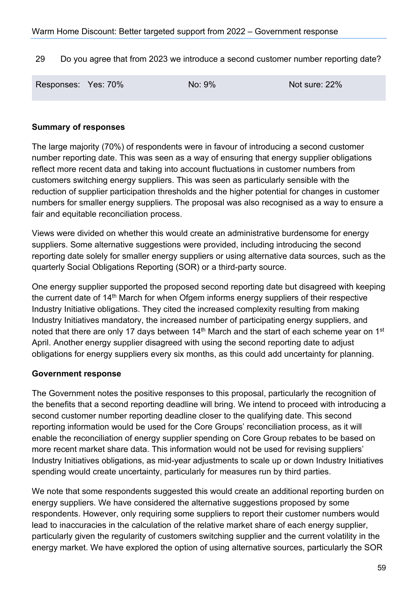29 Do you agree that from 2023 we introduce a second customer number reporting date?

| Responses: Yes: 70% | No: 9% | Not sure: 22% |
|---------------------|--------|---------------|
|                     |        |               |

#### **Summary of responses**

The large majority (70%) of respondents were in favour of introducing a second customer number reporting date. This was seen as a way of ensuring that energy supplier obligations reflect more recent data and taking into account fluctuations in customer numbers from customers switching energy suppliers. This was seen as particularly sensible with the reduction of supplier participation thresholds and the higher potential for changes in customer numbers for smaller energy suppliers. The proposal was also recognised as a way to ensure a fair and equitable reconciliation process.

Views were divided on whether this would create an administrative burdensome for energy suppliers. Some alternative suggestions were provided, including introducing the second reporting date solely for smaller energy suppliers or using alternative data sources, such as the quarterly Social Obligations Reporting (SOR) or a third-party source.

One energy supplier supported the proposed second reporting date but disagreed with keeping the current date of 14<sup>th</sup> March for when Ofgem informs energy suppliers of their respective Industry Initiative obligations. They cited the increased complexity resulting from making Industry Initiatives mandatory, the increased number of participating energy suppliers, and noted that there are only 17 days between  $14<sup>th</sup>$  March and the start of each scheme year on 1<sup>st</sup> April. Another energy supplier disagreed with using the second reporting date to adjust obligations for energy suppliers every six months, as this could add uncertainty for planning.

#### **Government response**

The Government notes the positive responses to this proposal, particularly the recognition of the benefits that a second reporting deadline will bring. We intend to proceed with introducing a second customer number reporting deadline closer to the qualifying date. This second reporting information would be used for the Core Groups' reconciliation process, as it will enable the reconciliation of energy supplier spending on Core Group rebates to be based on more recent market share data. This information would not be used for revising suppliers' Industry Initiatives obligations, as mid-year adjustments to scale up or down Industry Initiatives spending would create uncertainty, particularly for measures run by third parties.

We note that some respondents suggested this would create an additional reporting burden on energy suppliers. We have considered the alternative suggestions proposed by some respondents. However, only requiring some suppliers to report their customer numbers would lead to inaccuracies in the calculation of the relative market share of each energy supplier, particularly given the regularity of customers switching supplier and the current volatility in the energy market. We have explored the option of using alternative sources, particularly the SOR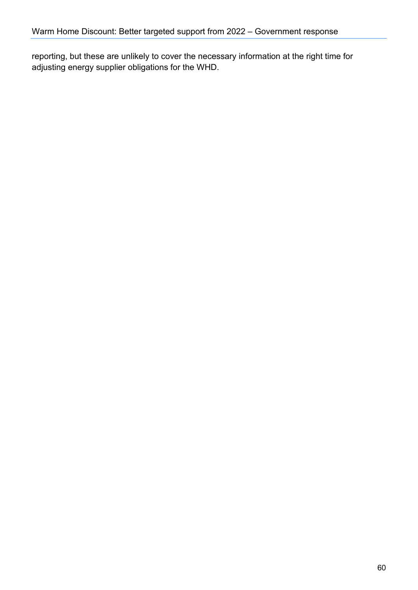reporting, but these are unlikely to cover the necessary information at the right time for adjusting energy supplier obligations for the WHD.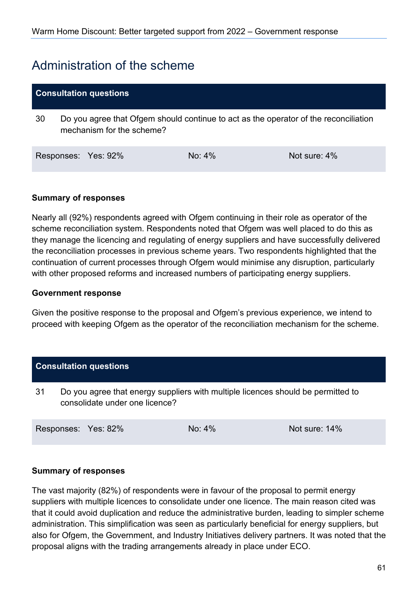## <span id="page-60-0"></span>Administration of the scheme

#### **Consultation questions**

30 Do you agree that Ofgem should continue to act as the operator of the reconciliation mechanism for the scheme?

| Responses: Yes: 92% |  | No: 4% | Not sure: 4% |
|---------------------|--|--------|--------------|
|---------------------|--|--------|--------------|

#### **Summary of responses**

Nearly all (92%) respondents agreed with Ofgem continuing in their role as operator of the scheme reconciliation system. Respondents noted that Ofgem was well placed to do this as they manage the licencing and regulating of energy suppliers and have successfully delivered the reconciliation processes in previous scheme years. Two respondents highlighted that the continuation of current processes through Ofgem would minimise any disruption, particularly with other proposed reforms and increased numbers of participating energy suppliers.

#### **Government response**

Given the positive response to the proposal and Ofgem's previous experience, we intend to proceed with keeping Ofgem as the operator of the reconciliation mechanism for the scheme.

| <b>Consultation questions</b> |  |                                |                                                                                  |               |
|-------------------------------|--|--------------------------------|----------------------------------------------------------------------------------|---------------|
| 31                            |  | consolidate under one licence? | Do you agree that energy suppliers with multiple licences should be permitted to |               |
|                               |  | Responses: Yes: 82%            | $No: 4\%$                                                                        | Not sure: 14% |

#### **Summary of responses**

The vast majority (82%) of respondents were in favour of the proposal to permit energy suppliers with multiple licences to consolidate under one licence. The main reason cited was that it could avoid duplication and reduce the administrative burden, leading to simpler scheme administration. This simplification was seen as particularly beneficial for energy suppliers, but also for Ofgem, the Government, and Industry Initiatives delivery partners. It was noted that the proposal aligns with the trading arrangements already in place under ECO.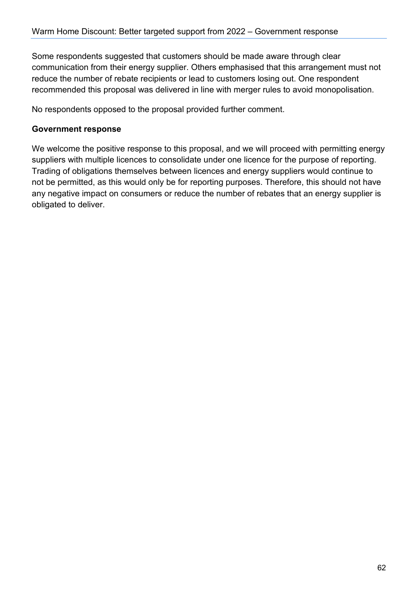Some respondents suggested that customers should be made aware through clear communication from their energy supplier. Others emphasised that this arrangement must not reduce the number of rebate recipients or lead to customers losing out. One respondent recommended this proposal was delivered in line with merger rules to avoid monopolisation.

No respondents opposed to the proposal provided further comment.

#### **Government response**

We welcome the positive response to this proposal, and we will proceed with permitting energy suppliers with multiple licences to consolidate under one licence for the purpose of reporting. Trading of obligations themselves between licences and energy suppliers would continue to not be permitted, as this would only be for reporting purposes. Therefore, this should not have any negative impact on consumers or reduce the number of rebates that an energy supplier is obligated to deliver.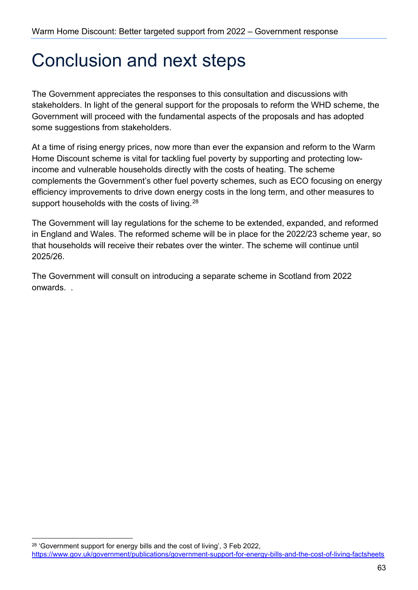## <span id="page-62-0"></span>Conclusion and next steps

The Government appreciates the responses to this consultation and discussions with stakeholders. In light of the general support for the proposals to reform the WHD scheme, the Government will proceed with the fundamental aspects of the proposals and has adopted some suggestions from stakeholders.

At a time of rising energy prices, now more than ever the expansion and reform to the Warm Home Discount scheme is vital for tackling fuel poverty by supporting and protecting lowincome and vulnerable households directly with the costs of heating. The scheme complements the Government's other fuel poverty schemes, such as ECO focusing on energy efficiency improvements to drive down energy costs in the long term, and other measures to support households with the costs of living.<sup>28</sup>

The Government will lay regulations for the scheme to be extended, expanded, and reformed in England and Wales. The reformed scheme will be in place for the 2022/23 scheme year, so that households will receive their rebates over the winter. The scheme will continue until 2025/26.

The Government will consult on introducing a separate scheme in Scotland from 2022 onwards. .

<span id="page-62-1"></span><sup>&</sup>lt;sup>28</sup> 'Government support for energy bills and the cost of living', 3 Feb 2022, <https://www.gov.uk/government/publications/government-support-for-energy-bills-and-the-cost-of-living-factsheets>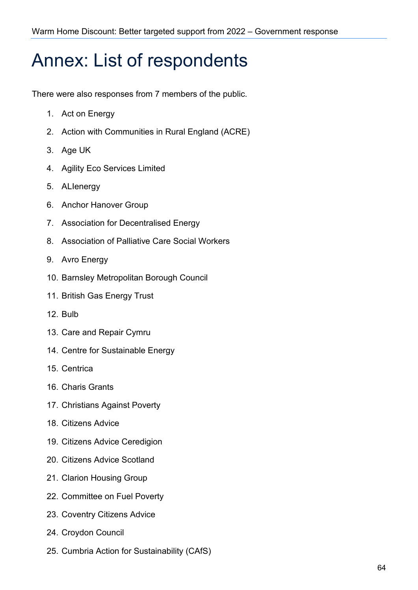## <span id="page-63-0"></span>Annex: List of respondents

There were also responses from 7 members of the public.

- 1. Act on Energy
- 2. Action with Communities in Rural England (ACRE)
- 3. Age UK
- 4. Agility Eco Services Limited
- 5. ALIenergy
- 6. Anchor Hanover Group
- 7. Association for Decentralised Energy
- 8. Association of Palliative Care Social Workers
- 9. Avro Energy
- 10. Barnsley Metropolitan Borough Council
- 11. British Gas Energy Trust
- 12. Bulb
- 13. Care and Repair Cymru
- 14. Centre for Sustainable Energy
- 15. Centrica
- 16. Charis Grants
- 17. Christians Against Poverty
- 18. Citizens Advice
- 19. Citizens Advice Ceredigion
- 20. Citizens Advice Scotland
- 21. Clarion Housing Group
- 22. Committee on Fuel Poverty
- 23. Coventry Citizens Advice
- 24. Croydon Council
- 25. Cumbria Action for Sustainability (CAfS)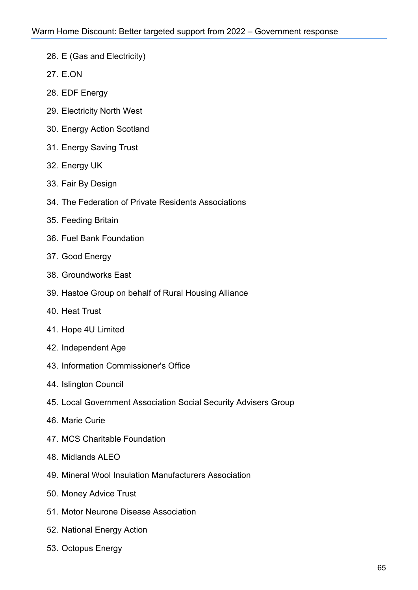- 26. E (Gas and Electricity)
- 27. E.ON
- 28. EDF Energy
- 29. Electricity North West
- 30. Energy Action Scotland
- 31. Energy Saving Trust
- 32. Energy UK
- 33. Fair By Design
- 34. The Federation of Private Residents Associations
- 35. Feeding Britain
- 36. Fuel Bank Foundation
- 37. Good Energy
- 38. Groundworks East
- 39. Hastoe Group on behalf of Rural Housing Alliance
- 40. Heat Trust
- 41. Hope 4U Limited
- 42. Independent Age
- 43. Information Commissioner's Office
- 44. Islington Council
- 45. Local Government Association Social Security Advisers Group
- 46. Marie Curie
- 47. MCS Charitable Foundation
- 48. Midlands ALEO
- 49. Mineral Wool Insulation Manufacturers Association
- 50. Money Advice Trust
- 51. Motor Neurone Disease Association
- 52. National Energy Action
- 53. Octopus Energy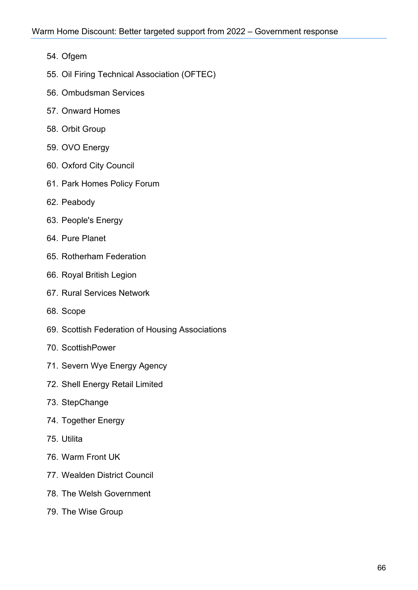- 54. Ofgem
- 55. Oil Firing Technical Association (OFTEC)
- 56. Ombudsman Services
- 57. Onward Homes
- 58. Orbit Group
- 59. OVO Energy
- 60. Oxford City Council
- 61. Park Homes Policy Forum
- 62. Peabody
- 63. People's Energy
- 64. Pure Planet
- 65. Rotherham Federation
- 66. Royal British Legion
- 67. Rural Services Network
- 68. Scope
- 69. Scottish Federation of Housing Associations
- 70. ScottishPower
- 71. Severn Wye Energy Agency
- 72. Shell Energy Retail Limited
- 73. StepChange
- 74. Together Energy
- 75. Utilita
- 76. Warm Front UK
- 77. Wealden District Council
- 78. The Welsh Government
- 79. The Wise Group